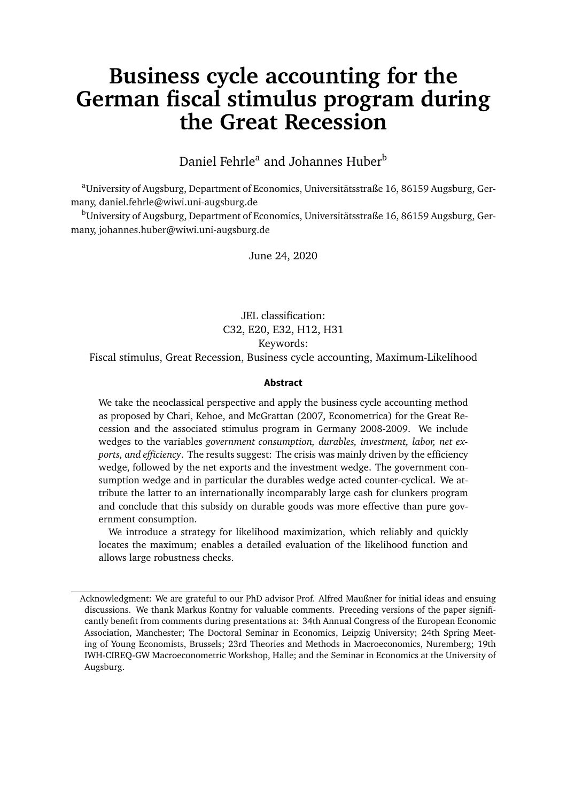# <span id="page-0-0"></span>**Business cycle accounting for the German fiscal stimulus program during the Great Recession**

Daniel Fehrle<sup>a</sup> and Johannes Huber<sup>b</sup>

<sup>a</sup>University of Augsburg, Department of Economics, Universitätsstraße 16, 86159 Augsburg, Germany, daniel.fehrle@wiwi.uni-augsburg.de

<sup>b</sup>University of Augsburg, Department of Economics, Universitätsstraße 16, 86159 Augsburg, Germany, johannes.huber@wiwi.uni-augsburg.de

June 24, 2020

JEL classification: C32, E20, E32, H12, H31 Keywords:

Fiscal stimulus, Great Recession, Business cycle accounting, Maximum-Likelihood

#### **Abstract**

We take the neoclassical perspective and apply the business cycle accounting method as proposed by Chari, Kehoe, and McGrattan (2007, Econometrica) for the Great Recession and the associated stimulus program in Germany 2008-2009. We include wedges to the variables *government consumption, durables, investment, labor, net exports, and efficiency*. The results suggest: The crisis was mainly driven by the efficiency wedge, followed by the net exports and the investment wedge. The government consumption wedge and in particular the durables wedge acted counter-cyclical. We attribute the latter to an internationally incomparably large cash for clunkers program and conclude that this subsidy on durable goods was more effective than pure government consumption.

We introduce a strategy for likelihood maximization, which reliably and quickly locates the maximum; enables a detailed evaluation of the likelihood function and allows large robustness checks.

Acknowledgment: We are grateful to our PhD advisor Prof. Alfred Maußner for initial ideas and ensuing discussions. We thank Markus Kontny for valuable comments. Preceding versions of the paper significantly benefit from comments during presentations at: 34th Annual Congress of the European Economic Association, Manchester; The Doctoral Seminar in Economics, Leipzig University; 24th Spring Meeting of Young Economists, Brussels; 23rd Theories and Methods in Macroeconomics, Nuremberg; 19th IWH-CIREQ-GW Macroeconometric Workshop, Halle; and the Seminar in Economics at the University of Augsburg.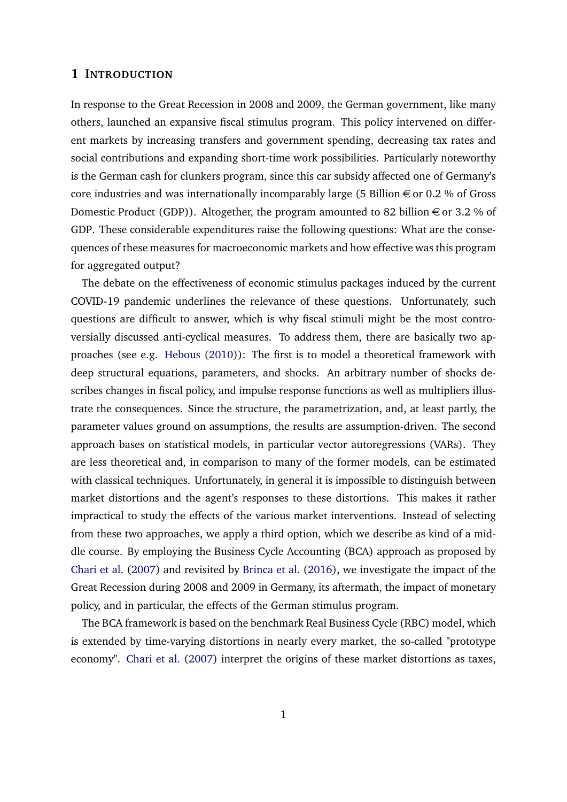#### **1 INTRODUCTION**

In response to the Great Recession in 2008 and 2009, the German government, like many others, launched an expansive fiscal stimulus program. This policy intervened on different markets by increasing transfers and government spending, decreasing tax rates and social contributions and expanding short-time work possibilities. Particularly noteworthy is the German cash for clunkers program, since this car subsidy affected one of Germany's core industries and was internationally incomparably large (5 Billion  $\epsilon$  or 0.2 % of Gross Domestic Product (GDP)). Altogether, the program amounted to 82 billion  $\epsilon$  or 3.2 % of GDP. These considerable expenditures raise the following questions: What are the consequences of these measures for macroeconomic markets and how effective was this program for aggregated output?

The debate on the effectiveness of economic stimulus packages induced by the current COVID-19 pandemic underlines the relevance of these questions. Unfortunately, such questions are difficult to answer, which is why fiscal stimuli might be the most controversially discussed anti-cyclical measures. To address them, there are basically two approaches (see e.g. [Hebous](#page-33-0) [\(2010\)](#page-33-0)): The first is to model a theoretical framework with deep structural equations, parameters, and shocks. An arbitrary number of shocks describes changes in fiscal policy, and impulse response functions as well as multipliers illustrate the consequences. Since the structure, the parametrization, and, at least partly, the parameter values ground on assumptions, the results are assumption-driven. The second approach bases on statistical models, in particular vector autoregressions (VARs). They are less theoretical and, in comparison to many of the former models, can be estimated with classical techniques. Unfortunately, in general it is impossible to distinguish between market distortions and the agent's responses to these distortions. This makes it rather impractical to study the effects of the various market interventions. Instead of selecting from these two approaches, we apply a third option, which we describe as kind of a middle course. By employing the Business Cycle Accounting (BCA) approach as proposed by [Chari et al.](#page-32-0) [\(2007\)](#page-32-0) and revisited by [Brinca et al.](#page-31-0) [\(2016\)](#page-31-0), we investigate the impact of the Great Recession during 2008 and 2009 in Germany, its aftermath, the impact of monetary policy, and in particular, the effects of the German stimulus program.

The BCA framework is based on the benchmark Real Business Cycle (RBC) model, which is extended by time-varying distortions in nearly every market, the so-called "prototype economy". [Chari et al.](#page-32-0) [\(2007\)](#page-32-0) interpret the origins of these market distortions as taxes,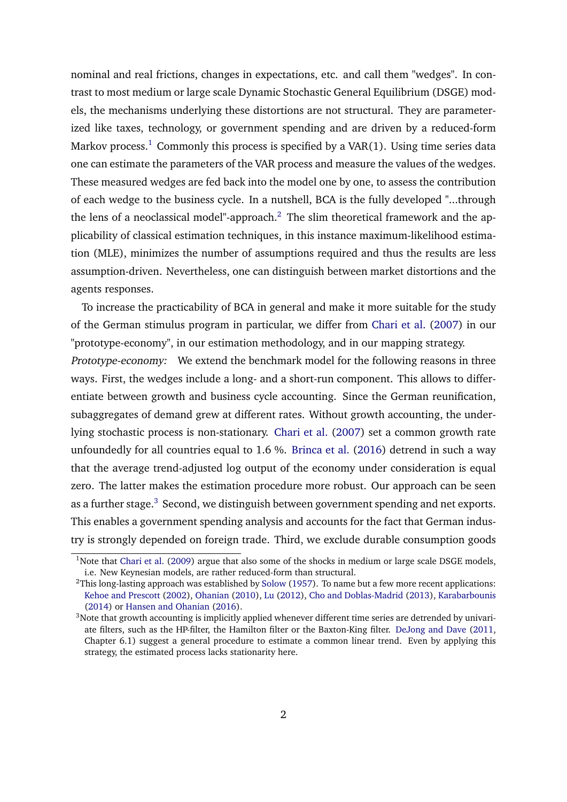nominal and real frictions, changes in expectations, etc. and call them "wedges". In contrast to most medium or large scale Dynamic Stochastic General Equilibrium (DSGE) models, the mechanisms underlying these distortions are not structural. They are parameterized like taxes, technology, or government spending and are driven by a reduced-form Markov process.<sup>[1](#page-0-0)</sup> Commonly this process is specified by a VAR(1). Using time series data one can estimate the parameters of the VAR process and measure the values of the wedges. These measured wedges are fed back into the model one by one, to assess the contribution of each wedge to the business cycle. In a nutshell, BCA is the fully developed "...through the lens of a neoclassical model"-approach.<sup>[2](#page-0-0)</sup> The slim theoretical framework and the applicability of classical estimation techniques, in this instance maximum-likelihood estimation (MLE), minimizes the number of assumptions required and thus the results are less assumption-driven. Nevertheless, one can distinguish between market distortions and the agents responses.

To increase the practicability of BCA in general and make it more suitable for the study of the German stimulus program in particular, we differ from [Chari et al.](#page-32-0) [\(2007\)](#page-32-0) in our "prototype-economy", in our estimation methodology, and in our mapping strategy.

Prototype-economy: We extend the benchmark model for the following reasons in three ways. First, the wedges include a long- and a short-run component. This allows to differentiate between growth and business cycle accounting. Since the German reunification, subaggregates of demand grew at different rates. Without growth accounting, the underlying stochastic process is non-stationary. [Chari et al.](#page-32-0) [\(2007\)](#page-32-0) set a common growth rate unfoundedly for all countries equal to 1.6 %. [Brinca et al.](#page-31-0) [\(2016\)](#page-31-0) detrend in such a way that the average trend-adjusted log output of the economy under consideration is equal zero. The latter makes the estimation procedure more robust. Our approach can be seen as a further stage.<sup>[3](#page-0-0)</sup> Second, we distinguish between government spending and net exports. This enables a government spending analysis and accounts for the fact that German industry is strongly depended on foreign trade. Third, we exclude durable consumption goods

<sup>&</sup>lt;sup>1</sup>Note that [Chari et al.](#page-32-1) [\(2009\)](#page-32-1) argue that also some of the shocks in medium or large scale DSGE models, i.e. New Keynesian models, are rather reduced-form than structural.

 $2$ This long-lasting approach was established by [Solow](#page-35-0) [\(1957\)](#page-35-0). To name but a few more recent applications: [Kehoe and Prescott](#page-34-0) [\(2002\)](#page-34-0), [Ohanian](#page-34-1) [\(2010\)](#page-34-1), [Lu](#page-34-2) [\(2012\)](#page-34-2), [Cho and Doblas-Madrid](#page-32-2) [\(2013\)](#page-32-2), [Karabarbounis](#page-33-1) [\(2014\)](#page-33-1) or [Hansen and Ohanian](#page-33-2) [\(2016\)](#page-33-2).

<sup>&</sup>lt;sup>3</sup>Note that growth accounting is implicitly applied whenever different time series are detrended by univariate filters, such as the HP-filter, the Hamilton filter or the Baxton-King filter. [DeJong and Dave](#page-32-3) [\(2011,](#page-32-3) Chapter 6.1) suggest a general procedure to estimate a common linear trend. Even by applying this strategy, the estimated process lacks stationarity here.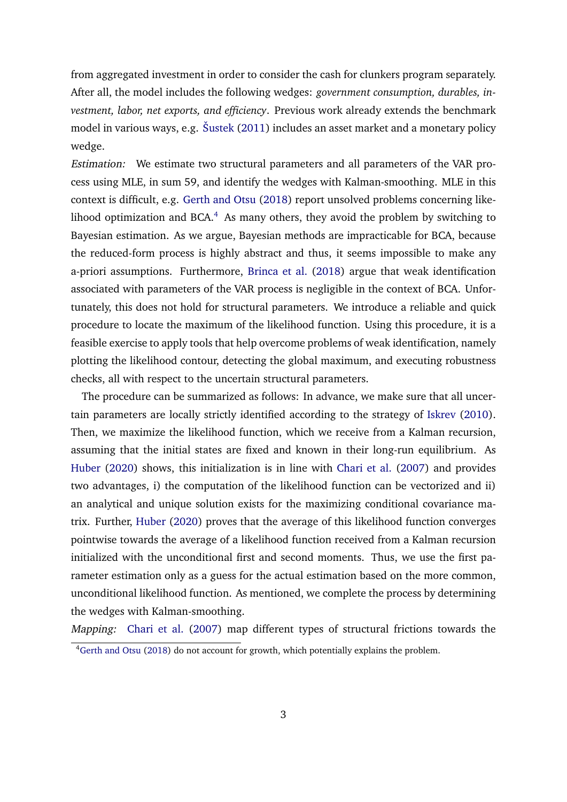from aggregated investment in order to consider the cash for clunkers program separately. After all, the model includes the following wedges: *government consumption, durables, investment, labor, net exports, and efficiency*. Previous work already extends the benchmark model in various ways, e.g. [Šustek](#page-35-1) [\(2011\)](#page-35-1) includes an asset market and a monetary policy wedge.

Estimation: We estimate two structural parameters and all parameters of the VAR process using MLE, in sum 59, and identify the wedges with Kalman-smoothing. MLE in this context is difficult, e.g. [Gerth and Otsu](#page-33-3) [\(2018\)](#page-33-3) report unsolved problems concerning likelihood optimization and BCA. $4$  As many others, they avoid the problem by switching to Bayesian estimation. As we argue, Bayesian methods are impracticable for BCA, because the reduced-form process is highly abstract and thus, it seems impossible to make any a-priori assumptions. Furthermore, [Brinca et al.](#page-31-1) [\(2018\)](#page-31-1) argue that weak identification associated with parameters of the VAR process is negligible in the context of BCA. Unfortunately, this does not hold for structural parameters. We introduce a reliable and quick procedure to locate the maximum of the likelihood function. Using this procedure, it is a feasible exercise to apply tools that help overcome problems of weak identification, namely plotting the likelihood contour, detecting the global maximum, and executing robustness checks, all with respect to the uncertain structural parameters.

The procedure can be summarized as follows: In advance, we make sure that all uncertain parameters are locally strictly identified according to the strategy of [Iskrev](#page-33-4) [\(2010\)](#page-33-4). Then, we maximize the likelihood function, which we receive from a Kalman recursion, assuming that the initial states are fixed and known in their long-run equilibrium. As [Huber](#page-33-5) [\(2020\)](#page-33-5) shows, this initialization is in line with [Chari et al.](#page-32-0) [\(2007\)](#page-32-0) and provides two advantages, i) the computation of the likelihood function can be vectorized and ii) an analytical and unique solution exists for the maximizing conditional covariance matrix. Further, [Huber](#page-33-5) [\(2020\)](#page-33-5) proves that the average of this likelihood function converges pointwise towards the average of a likelihood function received from a Kalman recursion initialized with the unconditional first and second moments. Thus, we use the first parameter estimation only as a guess for the actual estimation based on the more common, unconditional likelihood function. As mentioned, we complete the process by determining the wedges with Kalman-smoothing.

Mapping: [Chari et al.](#page-32-0) [\(2007\)](#page-32-0) map different types of structural frictions towards the

<sup>4</sup>[Gerth and Otsu](#page-33-3) [\(2018\)](#page-33-3) do not account for growth, which potentially explains the problem.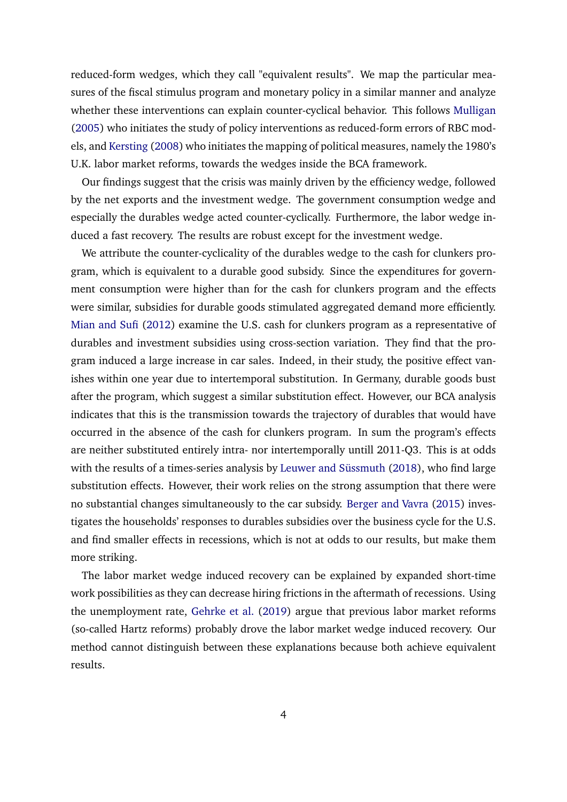reduced-form wedges, which they call "equivalent results". We map the particular measures of the fiscal stimulus program and monetary policy in a similar manner and analyze whether these interventions can explain counter-cyclical behavior. This follows [Mulligan](#page-34-3) [\(2005\)](#page-34-3) who initiates the study of policy interventions as reduced-form errors of RBC models, and [Kersting](#page-34-4) [\(2008\)](#page-34-4) who initiates the mapping of political measures, namely the 1980's U.K. labor market reforms, towards the wedges inside the BCA framework.

Our findings suggest that the crisis was mainly driven by the efficiency wedge, followed by the net exports and the investment wedge. The government consumption wedge and especially the durables wedge acted counter-cyclically. Furthermore, the labor wedge induced a fast recovery. The results are robust except for the investment wedge.

We attribute the counter-cyclicality of the durables wedge to the cash for clunkers program, which is equivalent to a durable good subsidy. Since the expenditures for government consumption were higher than for the cash for clunkers program and the effects were similar, subsidies for durable goods stimulated aggregated demand more efficiently. [Mian and Sufi](#page-34-5) [\(2012\)](#page-34-5) examine the U.S. cash for clunkers program as a representative of durables and investment subsidies using cross-section variation. They find that the program induced a large increase in car sales. Indeed, in their study, the positive effect vanishes within one year due to intertemporal substitution. In Germany, durable goods bust after the program, which suggest a similar substitution effect. However, our BCA analysis indicates that this is the transmission towards the trajectory of durables that would have occurred in the absence of the cash for clunkers program. In sum the program's effects are neither substituted entirely intra- nor intertemporally untill 2011-Q3. This is at odds with the results of a times-series analysis by [Leuwer and Süssmuth](#page-34-6) [\(2018\)](#page-34-6), who find large substitution effects. However, their work relies on the strong assumption that there were no substantial changes simultaneously to the car subsidy. [Berger and Vavra](#page-31-2) [\(2015\)](#page-31-2) investigates the households' responses to durables subsidies over the business cycle for the U.S. and find smaller effects in recessions, which is not at odds to our results, but make them more striking.

The labor market wedge induced recovery can be explained by expanded short-time work possibilities as they can decrease hiring frictions in the aftermath of recessions. Using the unemployment rate, [Gehrke et al.](#page-32-4) [\(2019\)](#page-32-4) argue that previous labor market reforms (so-called Hartz reforms) probably drove the labor market wedge induced recovery. Our method cannot distinguish between these explanations because both achieve equivalent results.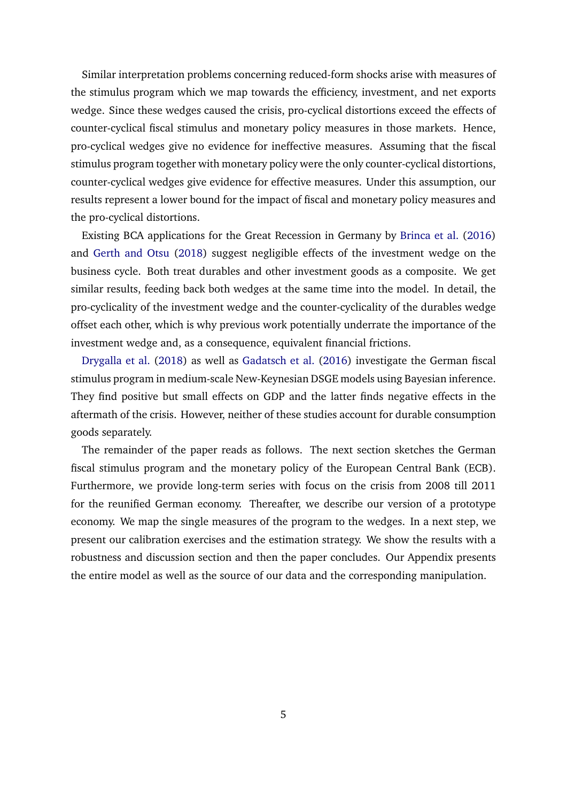Similar interpretation problems concerning reduced-form shocks arise with measures of the stimulus program which we map towards the efficiency, investment, and net exports wedge. Since these wedges caused the crisis, pro-cyclical distortions exceed the effects of counter-cyclical fiscal stimulus and monetary policy measures in those markets. Hence, pro-cyclical wedges give no evidence for ineffective measures. Assuming that the fiscal stimulus program together with monetary policy were the only counter-cyclical distortions, counter-cyclical wedges give evidence for effective measures. Under this assumption, our results represent a lower bound for the impact of fiscal and monetary policy measures and the pro-cyclical distortions.

Existing BCA applications for the Great Recession in Germany by [Brinca et al.](#page-31-0) [\(2016\)](#page-31-0) and [Gerth and Otsu](#page-33-3) [\(2018\)](#page-33-3) suggest negligible effects of the investment wedge on the business cycle. Both treat durables and other investment goods as a composite. We get similar results, feeding back both wedges at the same time into the model. In detail, the pro-cyclicality of the investment wedge and the counter-cyclicality of the durables wedge offset each other, which is why previous work potentially underrate the importance of the investment wedge and, as a consequence, equivalent financial frictions.

[Drygalla et al.](#page-32-5) [\(2018\)](#page-32-5) as well as [Gadatsch et al.](#page-32-6) [\(2016\)](#page-32-6) investigate the German fiscal stimulus program in medium-scale New-Keynesian DSGE models using Bayesian inference. They find positive but small effects on GDP and the latter finds negative effects in the aftermath of the crisis. However, neither of these studies account for durable consumption goods separately.

The remainder of the paper reads as follows. The next section sketches the German fiscal stimulus program and the monetary policy of the European Central Bank (ECB). Furthermore, we provide long-term series with focus on the crisis from 2008 till 2011 for the reunified German economy. Thereafter, we describe our version of a prototype economy. We map the single measures of the program to the wedges. In a next step, we present our calibration exercises and the estimation strategy. We show the results with a robustness and discussion section and then the paper concludes. Our Appendix presents the entire model as well as the source of our data and the corresponding manipulation.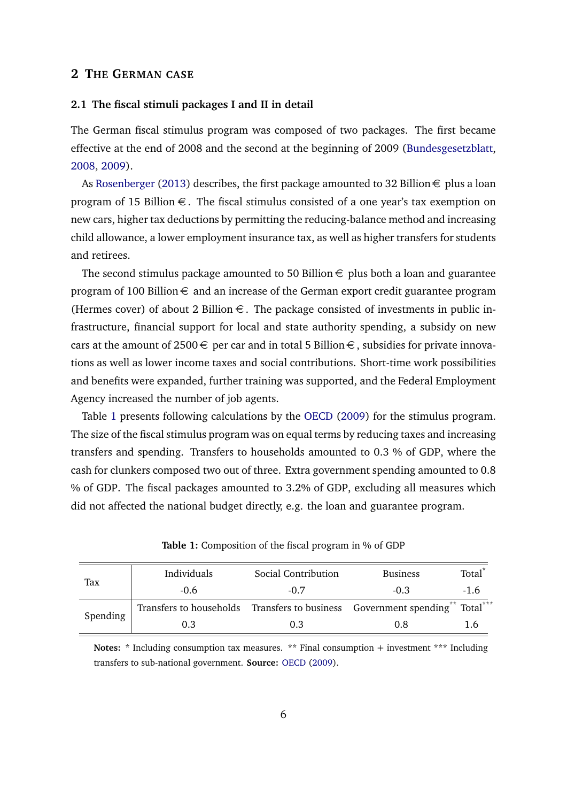#### **2 THE GERMAN CASE**

#### **2.1 The fiscal stimuli packages I and II in detail**

The German fiscal stimulus program was composed of two packages. The first became effective at the end of 2008 and the second at the beginning of 2009 [\(Bundesgesetzblatt,](#page-31-3) [2008,](#page-31-3) [2009\)](#page-31-4).

As [Rosenberger](#page-35-2) [\(2013\)](#page-35-2) describes, the first package amounted to 32 Billion  $\epsilon$  plus a loan program of 15 Billion  $\epsilon$ . The fiscal stimulus consisted of a one year's tax exemption on new cars, higher tax deductions by permitting the reducing-balance method and increasing child allowance, a lower employment insurance tax, as well as higher transfers for students and retirees.

The second stimulus package amounted to 50 Billion  $\epsilon$  plus both a loan and guarantee program of 100 Billion  $\epsilon$  and an increase of the German export credit guarantee program (Hermes cover) of about 2 Billion  $\epsilon$ . The package consisted of investments in public infrastructure, financial support for local and state authority spending, a subsidy on new cars at the amount of 2500  $\in$  per car and in total 5 Billion  $\in$ , subsidies for private innovations as well as lower income taxes and social contributions. Short-time work possibilities and benefits were expanded, further training was supported, and the Federal Employment Agency increased the number of job agents.

Table [1](#page-6-0) presents following calculations by the [OECD](#page-34-7) [\(2009\)](#page-34-7) for the stimulus program. The size of the fiscal stimulus program was on equal terms by reducing taxes and increasing transfers and spending. Transfers to households amounted to 0.3 % of GDP, where the cash for clunkers composed two out of three. Extra government spending amounted to 0.8 % of GDP. The fiscal packages amounted to 3.2% of GDP, excluding all measures which did not affected the national budget directly, e.g. the loan and guarantee program.

<span id="page-6-0"></span>

|          | Individuals                                                                  | Social Contribution | <b>Business</b> | Total <sup>*</sup> |
|----------|------------------------------------------------------------------------------|---------------------|-----------------|--------------------|
| Tax      | $-0.6$                                                                       | $-0.7$              | $-0.3$          | $-1.6$             |
|          | Transfers to households Transfers to business Government spending** Total*** |                     |                 |                    |
| Spending | 0.3                                                                          | 0.3                 | 0.8             |                    |

**Table 1:** Composition of the fiscal program in % of GDP

Notes: \* Including consumption tax measures. \*\* Final consumption + investment \*\*\* Including transfers to sub-national government. **Source:** [OECD](#page-34-7) [\(2009\)](#page-34-7).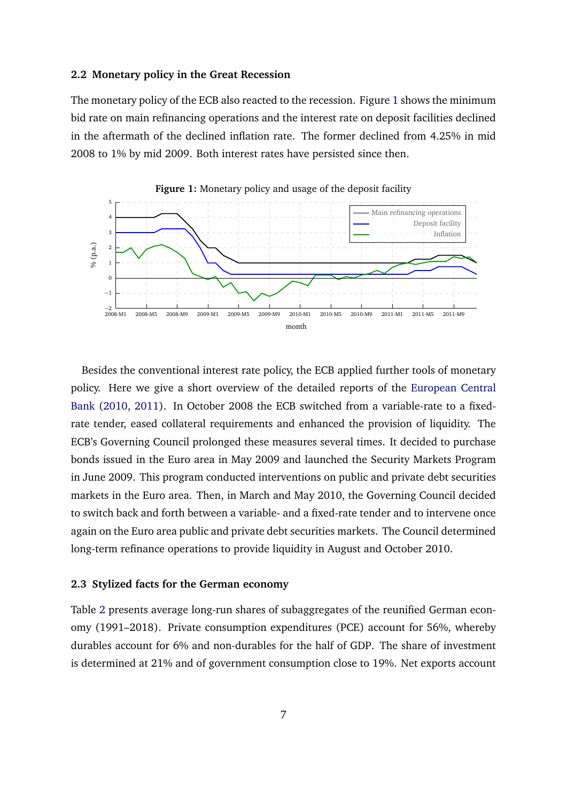#### **2.2 Monetary policy in the Great Recession**

The monetary policy of the ECB also reacted to the recession. Figure [1](#page-7-0) shows the minimum bid rate on main refinancing operations and the interest rate on deposit facilities declined in the aftermath of the declined inflation rate. The former declined from 4.25% in mid 2008 to 1% by mid 2009. Both interest rates have persisted since then.

<span id="page-7-0"></span>

Besides the conventional interest rate policy, the ECB applied further tools of monetary policy. Here we give a short overview of the detailed reports of the [European Central](#page-32-7) [Bank](#page-32-7) [\(2010,](#page-32-7) [2011\)](#page-32-8). In October 2008 the ECB switched from a variable-rate to a fixedrate tender, eased collateral requirements and enhanced the provision of liquidity. The ECB's Governing Council prolonged these measures several times. It decided to purchase bonds issued in the Euro area in May 2009 and launched the Security Markets Program in June 2009. This program conducted interventions on public and private debt securities markets in the Euro area. Then, in March and May 2010, the Governing Council decided to switch back and forth between a variable- and a fixed-rate tender and to intervene once again on the Euro area public and private debt securities markets. The Council determined long-term refinance operations to provide liquidity in August and October 2010.

#### **2.3 Stylized facts for the German economy**

Table [2](#page-8-0) presents average long-run shares of subaggregates of the reunified German economy (1991–2018). Private consumption expenditures (PCE) account for 56%, whereby durables account for 6% and non-durables for the half of GDP. The share of investment is determined at 21% and of government consumption close to 19%. Net exports account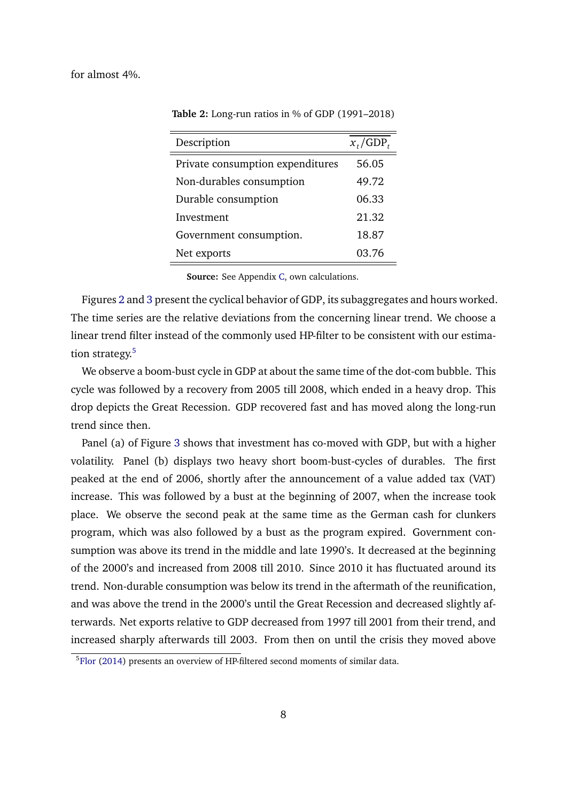<span id="page-8-0"></span>for almost 4%.

**Table 2:** Long-run ratios in % of GDP (1991–2018)

| Description                      | $x_t/\text{GDP}_t$ |
|----------------------------------|--------------------|
| Private consumption expenditures | 56.05              |
| Non-durables consumption         | 49.72              |
| Durable consumption              | 06.33              |
| Investment                       | 21.32              |
| Government consumption.          | 18.87              |
| Net exports                      | 03.76              |

**Source:** See Appendix [C,](#page-41-0) own calculations.

Figures [2](#page-9-0) and [3](#page-10-0) present the cyclical behavior of GDP, its subaggregates and hours worked. The time series are the relative deviations from the concerning linear trend. We choose a linear trend filter instead of the commonly used HP-filter to be consistent with our estima-tion strategy.<sup>[5](#page-0-0)</sup>

We observe a boom-bust cycle in GDP at about the same time of the dot-com bubble. This cycle was followed by a recovery from 2005 till 2008, which ended in a heavy drop. This drop depicts the Great Recession. GDP recovered fast and has moved along the long-run trend since then.

Panel (a) of Figure [3](#page-10-0) shows that investment has co-moved with GDP, but with a higher volatility. Panel (b) displays two heavy short boom-bust-cycles of durables. The first peaked at the end of 2006, shortly after the announcement of a value added tax (VAT) increase. This was followed by a bust at the beginning of 2007, when the increase took place. We observe the second peak at the same time as the German cash for clunkers program, which was also followed by a bust as the program expired. Government consumption was above its trend in the middle and late 1990's. It decreased at the beginning of the 2000's and increased from 2008 till 2010. Since 2010 it has fluctuated around its trend. Non-durable consumption was below its trend in the aftermath of the reunification, and was above the trend in the 2000's until the Great Recession and decreased slightly afterwards. Net exports relative to GDP decreased from 1997 till 2001 from their trend, and increased sharply afterwards till 2003. From then on until the crisis they moved above

 $5F$ lor [\(2014\)](#page-32-9) presents an overview of HP-filtered second moments of similar data.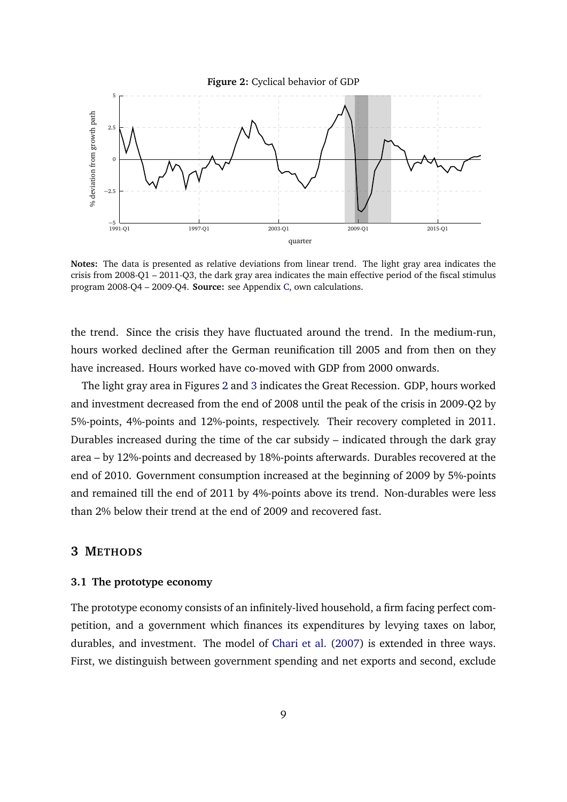<span id="page-9-0"></span>

**Notes:** The data is presented as relative deviations from linear trend. The light gray area indicates the crisis from 2008-Q1 – 2011-Q3, the dark gray area indicates the main effective period of the fiscal stimulus program 2008-Q4 – 2009-Q4. **Source:** see Appendix [C,](#page-41-0) own calculations.

the trend. Since the crisis they have fluctuated around the trend. In the medium-run, hours worked declined after the German reunification till 2005 and from then on they have increased. Hours worked have co-moved with GDP from 2000 onwards.

The light gray area in Figures [2](#page-9-0) and [3](#page-10-0) indicates the Great Recession. GDP, hours worked and investment decreased from the end of 2008 until the peak of the crisis in 2009-Q2 by 5%-points, 4%-points and 12%-points, respectively. Their recovery completed in 2011. Durables increased during the time of the car subsidy – indicated through the dark gray area – by 12%-points and decreased by 18%-points afterwards. Durables recovered at the end of 2010. Government consumption increased at the beginning of 2009 by 5%-points and remained till the end of 2011 by 4%-points above its trend. Non-durables were less than 2% below their trend at the end of 2009 and recovered fast.

#### **3 METHODS**

#### **3.1 The prototype economy**

The prototype economy consists of an infinitely-lived household, a firm facing perfect competition, and a government which finances its expenditures by levying taxes on labor, durables, and investment. The model of [Chari et al.](#page-32-0) [\(2007\)](#page-32-0) is extended in three ways. First, we distinguish between government spending and net exports and second, exclude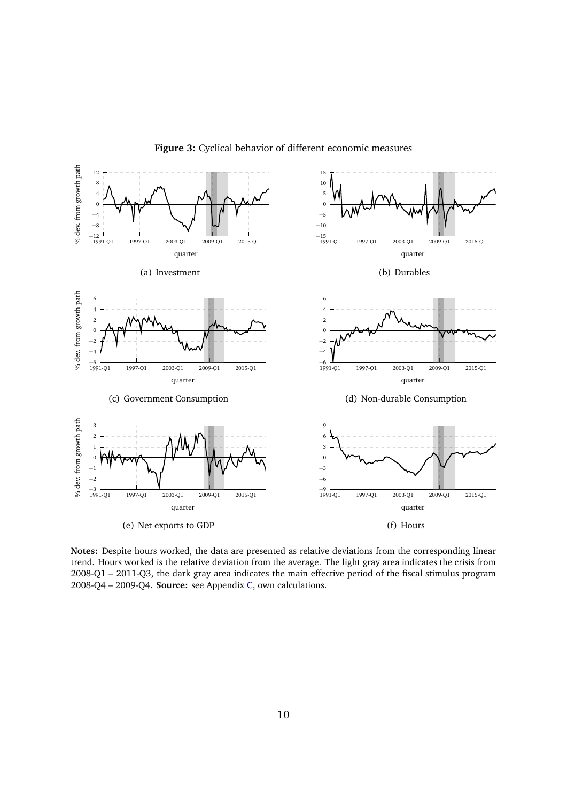<span id="page-10-0"></span>

#### **Figure 3:** Cyclical behavior of different economic measures

**Notes:** Despite hours worked, the data are presented as relative deviations from the corresponding linear trend. Hours worked is the relative deviation from the average. The light gray area indicates the crisis from 2008-Q1 – 2011-Q3, the dark gray area indicates the main effective period of the fiscal stimulus program 2008-Q4 – 2009-Q4. **Source:** see Appendix [C,](#page-41-0) own calculations.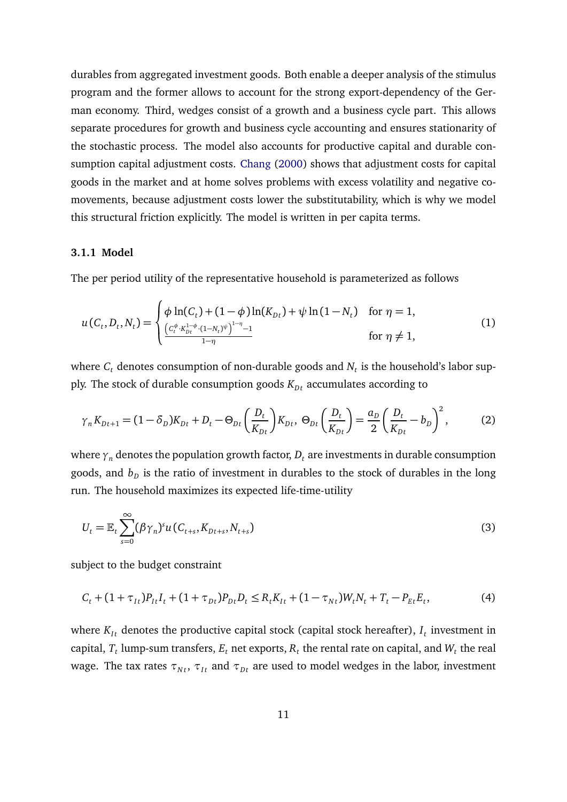durables from aggregated investment goods. Both enable a deeper analysis of the stimulus program and the former allows to account for the strong export-dependency of the German economy. Third, wedges consist of a growth and a business cycle part. This allows separate procedures for growth and business cycle accounting and ensures stationarity of the stochastic process. The model also accounts for productive capital and durable consumption capital adjustment costs. [Chang](#page-31-5) [\(2000\)](#page-31-5) shows that adjustment costs for capital goods in the market and at home solves problems with excess volatility and negative comovements, because adjustment costs lower the substitutability, which is why we model this structural friction explicitly. The model is written in per capita terms.

#### **3.1.1 Model**

The per period utility of the representative household is parameterized as follows

$$
u(C_t, D_t, N_t) = \begin{cases} \phi \ln(C_t) + (1 - \phi) \ln(K_{Dt}) + \psi \ln(1 - N_t) & \text{for } \eta = 1, \\ \frac{\left(C_t^{\phi} \cdot K_{Dt}^{1 - \phi} \cdot (1 - N_t)^{\psi}\right)^{1 - \eta} - 1}{1 - \eta} & \text{for } \eta \neq 1, \end{cases}
$$
(1)

where  $C_t$  denotes consumption of non-durable goods and  $N_t$  is the household's labor supply. The stock of durable consumption goods  $K_{Dt}$  accumulates according to

<span id="page-11-0"></span>
$$
\gamma_n K_{Dt+1} = (1 - \delta_D) K_{Dt} + D_t - \Theta_{Dt} \left( \frac{D_t}{K_{Dt}} \right) K_{Dt}, \ \Theta_{Dt} \left( \frac{D_t}{K_{Dt}} \right) = \frac{a_D}{2} \left( \frac{D_t}{K_{Dt}} - b_D \right)^2, \tag{2}
$$

where  $\gamma_n$  denotes the population growth factor,  $D_t$  are investments in durable consumption goods, and  $b_{\scriptscriptstyle D}$  is the ratio of investment in durables to the stock of durables in the long run. The household maximizes its expected life-time-utility

$$
U_{t} = \mathbb{E}_{t} \sum_{s=0}^{\infty} (\beta \gamma_{n})^{s} u(C_{t+s}, K_{Dt+s}, N_{t+s})
$$
\n(3)

subject to the budget constraint

$$
C_t + (1 + \tau_{It})P_{It}I_t + (1 + \tau_{Dt})P_{Dt}D_t \le R_t K_{It} + (1 - \tau_{Nt})W_t N_t + T_t - P_{Et}E_t,
$$
\n(4)

where  $K_{It}$  denotes the productive capital stock (capital stock hereafter),  $I_t$  investment in capital,  $T_t$  lump-sum transfers,  $E_t$  net exports,  $R_t$  the rental rate on capital, and  $W_t$  the real wage. The tax rates  $\tau_{Nt}$ ,  $\tau_{It}$  and  $\tau_{Dt}$  are used to model wedges in the labor, investment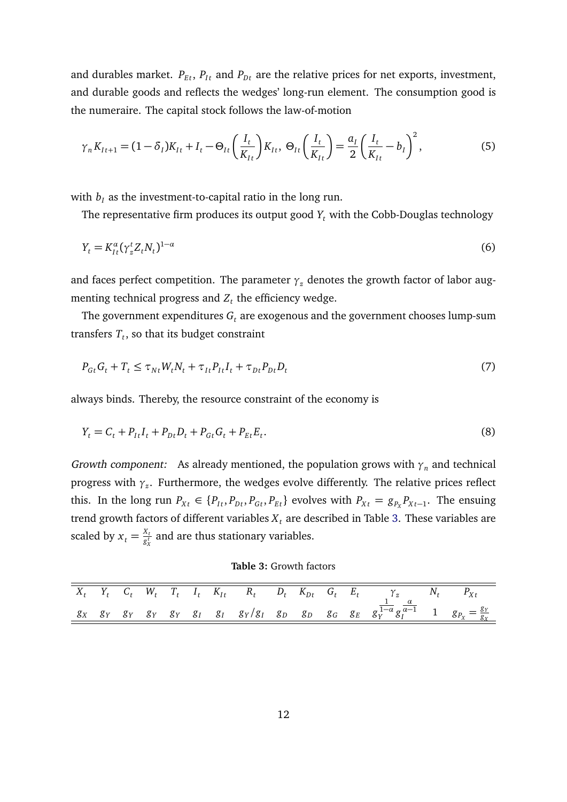and durables market.  $P_{Et}$ ,  $P_{It}$  and  $P_{Dt}$  are the relative prices for net exports, investment, and durable goods and reflects the wedges' long-run element. The consumption good is the numeraire. The capital stock follows the law-of-motion

<span id="page-12-1"></span>
$$
\gamma_n K_{It+1} = (1 - \delta_I) K_{It} + I_t - \Theta_{It} \left( \frac{I_t}{K_{It}} \right) K_{It}, \ \Theta_{It} \left( \frac{I_t}{K_{It}} \right) = \frac{a_I}{2} \left( \frac{I_t}{K_{It}} - b_I \right)^2, \tag{5}
$$

with  $b_I$  as the investment-to-capital ratio in the long run.

The representative firm produces its output good  $Y_t$  with the Cobb-Douglas technology

$$
Y_t = K_{It}^{\alpha} (\gamma_z^t Z_t N_t)^{1-\alpha} \tag{6}
$$

and faces perfect competition. The parameter  $\gamma$ <sub>*z*</sub> denotes the growth factor of labor augmenting technical progress and  $Z_t$  the efficiency wedge.

The government expenditures  $G_t$  are exogenous and the government chooses lump-sum transfers  $T_t$ , so that its budget constraint

$$
P_{Gt}G_t + T_t \leq \tau_{Nt}W_t N_t + \tau_{It}P_{It}I_t + \tau_{Dt}P_{Dt}D_t
$$
\n
$$
\tag{7}
$$

always binds. Thereby, the resource constraint of the economy is

$$
Y_t = C_t + P_{It}I_t + P_{Dt}D_t + P_{Gt}G_t + P_{Et}E_t.
$$
\n(8)

Growth component: As already mentioned, the population grows with  $\gamma_n$  and technical progress with *γ<sup>z</sup>* . Furthermore, the wedges evolve differently. The relative prices reflect this. In the long run  $P_{Xt} \in \{P_{It}, P_{Dt}, P_{Gt}, P_{Et}\}$  evolves with  $P_{Xt} = g_{P_X}P_{Xt-1}$ . The ensuing trend growth factors of different variables  $X_t$  are described in Table [3.](#page-12-0) These variables are scaled by  $x_t = \frac{X_t}{g_x^t}$  $\frac{\alpha_t}{g^\tau_x}$  and are thus stationary variables.

**Table 3:** Growth factors

<span id="page-12-0"></span>

|  |  |  |  |  |  | $X_t$ $Y_t$ $C_t$ $W_t$ $T_t$ $I_t$ $K_{It}$ $R_t$ $D_t$ $K_{Dt}$ $G_t$ $E_t$ $\gamma_z$ $N_t$ $P_{Xt}$                                                               |  |
|--|--|--|--|--|--|-----------------------------------------------------------------------------------------------------------------------------------------------------------------------|--|
|  |  |  |  |  |  | $g_X$ $g_Y$ $g_Y$ $g_Y$ $g_Y$ $g_I$ $g_I$ $g_I$ $g_V/g_I$ $g_D$ $g_D$ $g_G$ $g_E$ $g_Y^{\overline{1-\alpha}} g_I^{\overline{\alpha-1}}$ 1 $g_{P_X} = \frac{g_Y}{g_X}$ |  |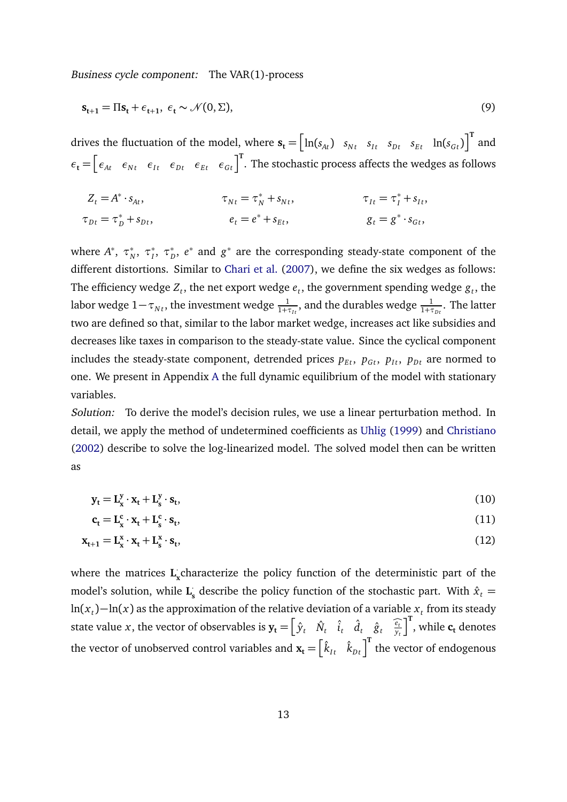Business cycle component: The VAR(1)-process

<span id="page-13-0"></span>
$$
\mathbf{s}_{t+1} = \Pi \mathbf{s}_t + \epsilon_{t+1}, \ \epsilon_t \sim \mathcal{N}(0, \Sigma), \tag{9}
$$

drives the fluctuation of the model, where  $\mathbf{s_t} = \begin{bmatrix} \ln(s_{At}) & s_{Nt} & s_{It} & s_{Dt} & s_{Et} & \ln(s_{Gt}) \end{bmatrix}^T$  and  $\epsilon_t = \begin{bmatrix} \epsilon_{At} & \epsilon_{Nt} & \epsilon_{It} & \epsilon_{Dt} & \epsilon_{Et} & \epsilon_{Gt} \end{bmatrix}^T$ . The stochastic process affects the wedges as follows

$$
Z_t = A^* \cdot s_{At}, \qquad \tau_{Nt} = \tau_N^* + s_{Nt}, \qquad \tau_{It} = \tau_I^* + s_{It},
$$
  
\n
$$
\tau_{Dt} = \tau_D^* + s_{Dt}, \qquad e_t = e^* + s_{Et}, \qquad g_t = g^* \cdot s_{Gt},
$$

where *A*<sup>\*</sup>, *τ*<sup>\*</sup> *N* , *τ* ∗ *I* , *τ* ∗ *D* , *e* ∗ and *g* ∗ are the corresponding steady-state component of the different distortions. Similar to [Chari et al.](#page-32-0) [\(2007\)](#page-32-0), we define the six wedges as follows: The efficiency wedge  $Z_t$ , the net export wedge  $e_t$ , the government spending wedge  $g_t$ , the labor wedge  $1-\tau_{Nt}$ , the investment wedge  $\frac{1}{1+\tau_{It}}$ , and the durables wedge  $\frac{1}{1+\tau_{Dt}}.$  The latter two are defined so that, similar to the labor market wedge, increases act like subsidies and decreases like taxes in comparison to the steady-state value. Since the cyclical component includes the steady-state component, detrended prices  $p_{Et}$ ,  $p_{Gt}$ ,  $p_{It}$ ,  $p_{Dt}$  are normed to one. We present in Appendix [A](#page-37-0) the full dynamic equilibrium of the model with stationary variables.

Solution: To derive the model's decision rules, we use a linear perturbation method. In detail, we apply the method of undetermined coefficients as [Uhlig](#page-35-3) [\(1999\)](#page-35-3) and [Christiano](#page-32-10) [\(2002\)](#page-32-10) describe to solve the log-linearized model. The solved model then can be written as

$$
\mathbf{y}_{t} = \mathbf{L}_{\mathbf{x}}^{y} \cdot \mathbf{x}_{t} + \mathbf{L}_{\mathbf{s}}^{y} \cdot \mathbf{s}_{t},\tag{10}
$$

<span id="page-13-1"></span>
$$
\mathbf{c}_{t} = \mathbf{L}_{\mathbf{x}}^{\mathbf{c}} \cdot \mathbf{x}_{t} + \mathbf{L}_{\mathbf{s}}^{\mathbf{c}} \cdot \mathbf{s}_{t},\tag{11}
$$

$$
\mathbf{x}_{t+1} = \mathbf{L}_{\mathbf{x}}^{\mathbf{x}} \cdot \mathbf{x}_t + \mathbf{L}_{\mathbf{s}}^{\mathbf{x}} \cdot \mathbf{s}_t,\tag{12}
$$

where the matrices **L x** characterize the policy function of the deterministic part of the model's solution, while **L** ·  $\hat{\mathbf{x}}_{\text{s}}$  describe the policy function of the stochastic part. With  $\hat{x}_{t} = \hat{x}_{t}$ ln $(x_t)$ −ln $(x)$  as the approximation of the relative deviation of a variable  $x_t$  from its steady state value *x*, the vector of observables is  $\mathbf{y}_t = \begin{bmatrix} \hat{y}_t & \hat{N}_t & \hat{i}_t & \hat{d}_t & \hat{g}_t & \frac{\hat{e}_t}{y_t} \end{bmatrix}$  $\int_0^T$ , while **c**<sub>t</sub> denotes the vector of unobserved control variables and  $\mathbf{x_t} = \begin{bmatrix} \hat{k}_{It} & \hat{k}_{Dt} \end{bmatrix}^{\text{T}}$  the vector of endogenous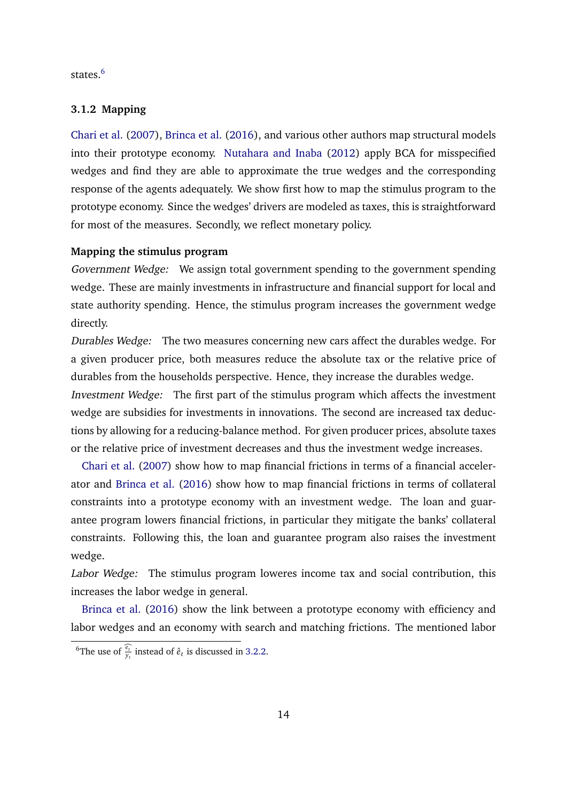states.<sup>[6](#page-0-0)</sup>

#### **3.1.2 Mapping**

[Chari et al.](#page-32-0) [\(2007\)](#page-32-0), [Brinca et al.](#page-31-0) [\(2016\)](#page-31-0), and various other authors map structural models into their prototype economy. [Nutahara and Inaba](#page-34-8) [\(2012\)](#page-34-8) apply BCA for misspecified wedges and find they are able to approximate the true wedges and the corresponding response of the agents adequately. We show first how to map the stimulus program to the prototype economy. Since the wedges' drivers are modeled as taxes, this is straightforward for most of the measures. Secondly, we reflect monetary policy.

#### **Mapping the stimulus program**

Government Wedge: We assign total government spending to the government spending wedge. These are mainly investments in infrastructure and financial support for local and state authority spending. Hence, the stimulus program increases the government wedge directly.

Durables Wedge: The two measures concerning new cars affect the durables wedge. For a given producer price, both measures reduce the absolute tax or the relative price of durables from the households perspective. Hence, they increase the durables wedge. Investment Wedge: The first part of the stimulus program which affects the investment wedge are subsidies for investments in innovations. The second are increased tax deductions by allowing for a reducing-balance method. For given producer prices, absolute taxes or the relative price of investment decreases and thus the investment wedge increases.

[Chari et al.](#page-32-0) [\(2007\)](#page-32-0) show how to map financial frictions in terms of a financial accelerator and [Brinca et al.](#page-31-0) [\(2016\)](#page-31-0) show how to map financial frictions in terms of collateral constraints into a prototype economy with an investment wedge. The loan and guarantee program lowers financial frictions, in particular they mitigate the banks' collateral constraints. Following this, the loan and guarantee program also raises the investment wedge.

Labor Wedge: The stimulus program loweres income tax and social contribution, this increases the labor wedge in general.

[Brinca et al.](#page-31-0) [\(2016\)](#page-31-0) show the link between a prototype economy with efficiency and labor wedges and an economy with search and matching frictions. The mentioned labor

<sup>&</sup>lt;sup>6</sup>The use of  $\frac{\hat{e}_t}{y_t}$  instead of  $\hat{e}_t$  is discussed in [3.2.2.](#page-20-0)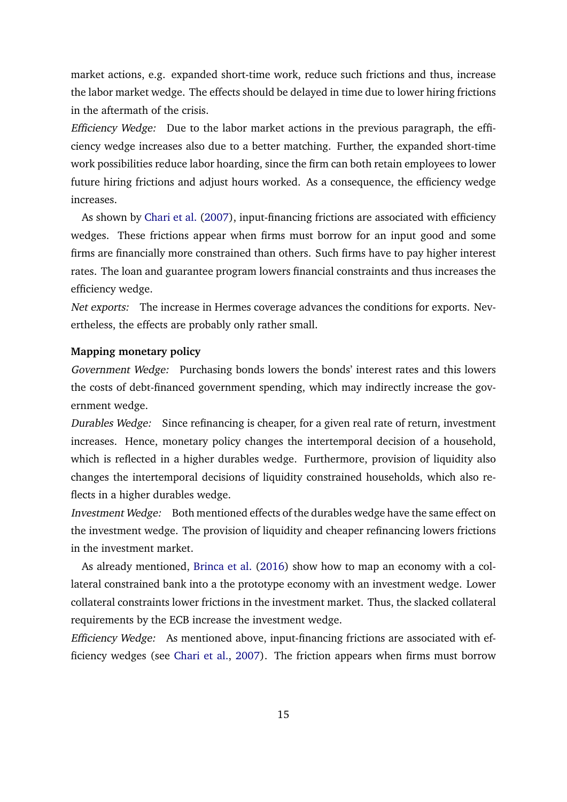market actions, e.g. expanded short-time work, reduce such frictions and thus, increase the labor market wedge. The effects should be delayed in time due to lower hiring frictions in the aftermath of the crisis.

Efficiency Wedge: Due to the labor market actions in the previous paragraph, the efficiency wedge increases also due to a better matching. Further, the expanded short-time work possibilities reduce labor hoarding, since the firm can both retain employees to lower future hiring frictions and adjust hours worked. As a consequence, the efficiency wedge increases.

As shown by [Chari et al.](#page-32-0) [\(2007\)](#page-32-0), input-financing frictions are associated with efficiency wedges. These frictions appear when firms must borrow for an input good and some firms are financially more constrained than others. Such firms have to pay higher interest rates. The loan and guarantee program lowers financial constraints and thus increases the efficiency wedge.

Net exports: The increase in Hermes coverage advances the conditions for exports. Nevertheless, the effects are probably only rather small.

#### **Mapping monetary policy**

Government Wedge: Purchasing bonds lowers the bonds' interest rates and this lowers the costs of debt-financed government spending, which may indirectly increase the government wedge.

Durables Wedge: Since refinancing is cheaper, for a given real rate of return, investment increases. Hence, monetary policy changes the intertemporal decision of a household, which is reflected in a higher durables wedge. Furthermore, provision of liquidity also changes the intertemporal decisions of liquidity constrained households, which also reflects in a higher durables wedge.

Investment Wedge: Both mentioned effects of the durables wedge have the same effect on the investment wedge. The provision of liquidity and cheaper refinancing lowers frictions in the investment market.

As already mentioned, [Brinca et al.](#page-31-0) [\(2016\)](#page-31-0) show how to map an economy with a collateral constrained bank into a the prototype economy with an investment wedge. Lower collateral constraints lower frictions in the investment market. Thus, the slacked collateral requirements by the ECB increase the investment wedge.

Efficiency Wedge: As mentioned above, input-financing frictions are associated with efficiency wedges (see [Chari et al.,](#page-32-0) [2007\)](#page-32-0). The friction appears when firms must borrow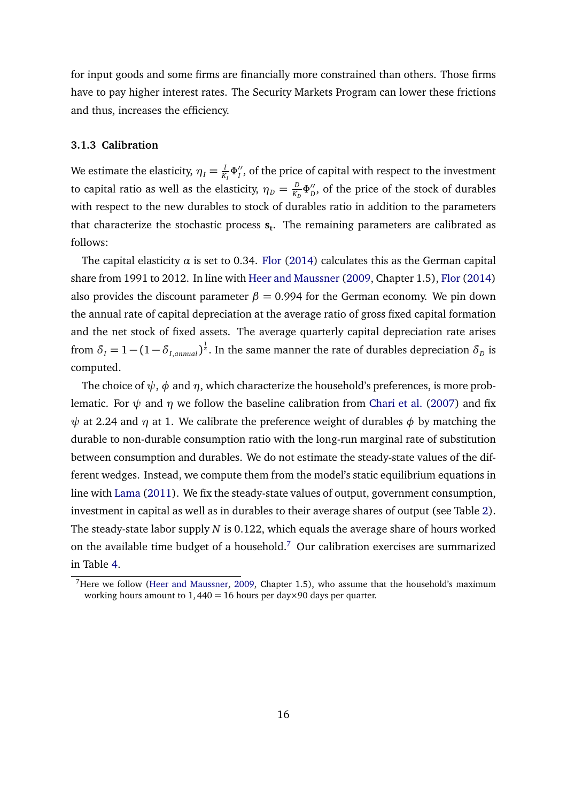for input goods and some firms are financially more constrained than others. Those firms have to pay higher interest rates. The Security Markets Program can lower these frictions and thus, increases the efficiency.

#### **3.1.3 Calibration**

We estimate the elasticity,  $\eta_{I}=\frac{I}{K}$  $\frac{I}{K_I} \Phi''_I$  $I_I^{\prime\prime}$ , of the price of capital with respect to the investment to capital ratio as well as the elasticity,  $\eta_D = \frac{D}{K_D}$  $\frac{D}{K_D}$  $\Phi''_D$  $_D^{\prime\prime}$ , of the price of the stock of durables with respect to the new durables to stock of durables ratio in addition to the parameters that characterize the stochastic process **s<sup>t</sup>** . The remaining parameters are calibrated as follows:

The capital elasticity  $\alpha$  is set to 0.34. [Flor](#page-32-9) [\(2014\)](#page-32-9) calculates this as the German capital share from 1991 to 2012. In line with [Heer and Maussner](#page-33-6) [\(2009,](#page-33-6) Chapter 1.5), [Flor](#page-32-9) [\(2014\)](#page-32-9) also provides the discount parameter  $\beta = 0.994$  for the German economy. We pin down the annual rate of capital depreciation at the average ratio of gross fixed capital formation and the net stock of fixed assets. The average quarterly capital depreciation rate arises from  $\delta_I = 1 - (1 - \delta_{I,annual})^{\frac{1}{4}}$ . In the same manner the rate of durables depreciation  $\delta_D$  is computed.

The choice of  $\psi$ ,  $\phi$  and  $\eta$ , which characterize the household's preferences, is more problematic. For  $\psi$  and  $\eta$  we follow the baseline calibration from [Chari et al.](#page-32-0) [\(2007\)](#page-32-0) and fix *ψ* at 2.24 and *η* at 1. We calibrate the preference weight of durables *φ* by matching the durable to non-durable consumption ratio with the long-run marginal rate of substitution between consumption and durables. We do not estimate the steady-state values of the different wedges. Instead, we compute them from the model's static equilibrium equations in line with [Lama](#page-34-9) [\(2011\)](#page-34-9). We fix the steady-state values of output, government consumption, investment in capital as well as in durables to their average shares of output (see Table [2\)](#page-8-0). The steady-state labor supply *N* is 0.122, which equals the average share of hours worked on the available time budget of a household.<sup>[7](#page-0-0)</sup> Our calibration exercises are summarized in Table [4.](#page-17-0)

<sup>&</sup>lt;sup>7</sup>Here we follow [\(Heer and Maussner,](#page-33-6) [2009,](#page-33-6) Chapter 1.5), who assume that the household's maximum working hours amount to  $1,440 = 16$  hours per day×90 days per quarter.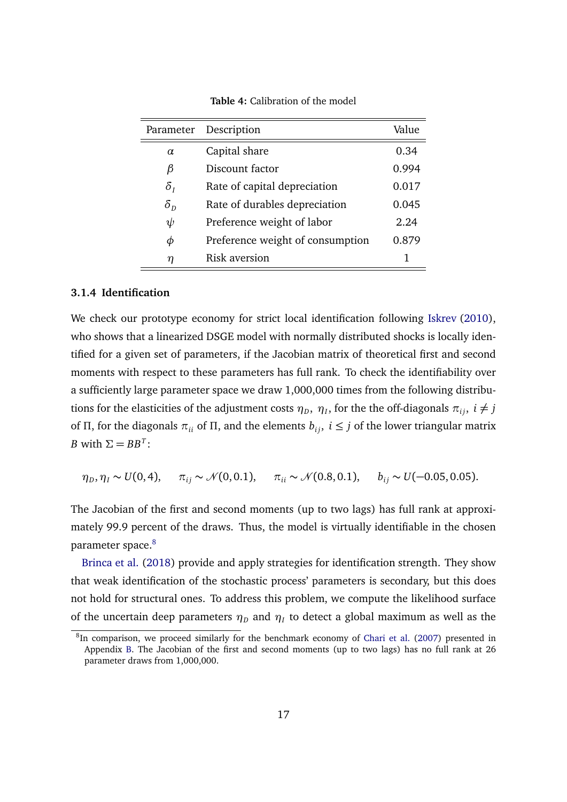<span id="page-17-0"></span>

| Parameter    | Description                      | Value |
|--------------|----------------------------------|-------|
| $\alpha$     | Capital share                    | 0.34  |
| β            | Discount factor                  | 0.994 |
| $\delta_{I}$ | Rate of capital depreciation     | 0.017 |
| $\delta_{D}$ | Rate of durables depreciation    | 0.045 |
| $\psi$       | Preference weight of labor       | 2.24  |
| Φ            | Preference weight of consumption | 0.879 |
| η            | <b>Risk aversion</b>             | 1     |

**Table 4:** Calibration of the model

#### **3.1.4 Identification**

We check our prototype economy for strict local identification following [Iskrev](#page-33-4) [\(2010\)](#page-33-4), who shows that a linearized DSGE model with normally distributed shocks is locally identified for a given set of parameters, if the Jacobian matrix of theoretical first and second moments with respect to these parameters has full rank. To check the identifiability over a sufficiently large parameter space we draw 1,000,000 times from the following distributions for the elasticities of the adjustment costs  $\eta_D$ ,  $\eta_I$ , for the the off-diagonals  $\pi_{ij}$ ,  $i \neq j$ of *Π*, for the diagonals  $\pi_{ii}$  of *Π*, and the elements  $b_{ij}$ ,  $i \leq j$  of the lower triangular matrix *B* with  $\Sigma = BB^T$ :

$$
\eta_D, \eta_I \sim U(0, 4), \quad \pi_{ij} \sim \mathcal{N}(0, 0.1), \quad \pi_{ii} \sim \mathcal{N}(0.8, 0.1), \quad b_{ij} \sim U(-0.05, 0.05).
$$

The Jacobian of the first and second moments (up to two lags) has full rank at approximately 99.9 percent of the draws. Thus, the model is virtually identifiable in the chosen parameter space.<sup>[8](#page-0-0)</sup>

[Brinca et al.](#page-31-1) [\(2018\)](#page-31-1) provide and apply strategies for identification strength. They show that weak identification of the stochastic process' parameters is secondary, but this does not hold for structural ones. To address this problem, we compute the likelihood surface of the uncertain deep parameters  $\eta_D$  and  $\eta_I$  to detect a global maximum as well as the

<sup>&</sup>lt;sup>8</sup>In comparison, we proceed similarly for the benchmark economy of [Chari et al.](#page-32-0) [\(2007\)](#page-32-0) presented in Appendix [B.](#page-39-0) The Jacobian of the first and second moments (up to two lags) has no full rank at 26 parameter draws from 1,000,000.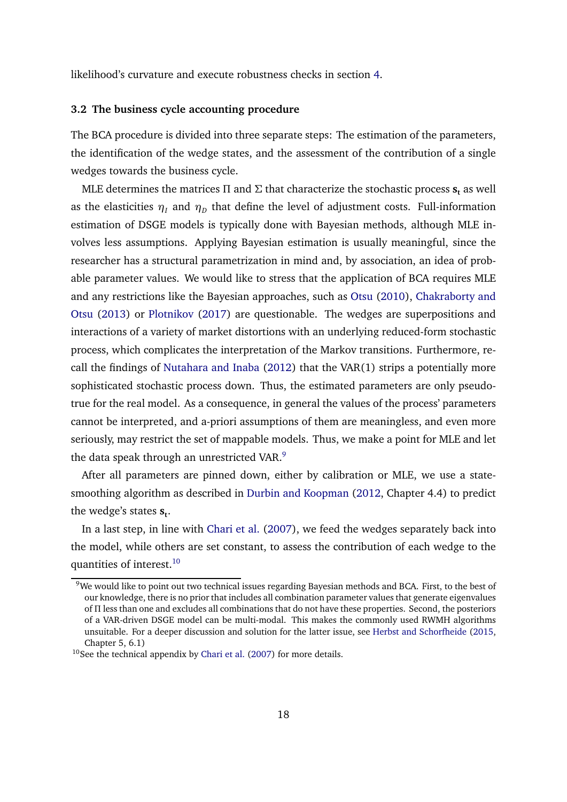likelihood's curvature and execute robustness checks in section [4.](#page-21-0)

#### **3.2 The business cycle accounting procedure**

The BCA procedure is divided into three separate steps: The estimation of the parameters, the identification of the wedge states, and the assessment of the contribution of a single wedges towards the business cycle.

MLE determines the matrices *Π* and *Σ* that characterize the stochastic process **s<sup>t</sup>** as well as the elasticities  $\eta_I$  and  $\eta_D$  that define the level of adjustment costs. Full-information estimation of DSGE models is typically done with Bayesian methods, although MLE involves less assumptions. Applying Bayesian estimation is usually meaningful, since the researcher has a structural parametrization in mind and, by association, an idea of probable parameter values. We would like to stress that the application of BCA requires MLE and any restrictions like the Bayesian approaches, such as [Otsu](#page-34-10) [\(2010\)](#page-34-10), [Chakraborty and](#page-31-6) [Otsu](#page-31-6) [\(2013\)](#page-31-6) or [Plotnikov](#page-34-11) [\(2017\)](#page-34-11) are questionable. The wedges are superpositions and interactions of a variety of market distortions with an underlying reduced-form stochastic process, which complicates the interpretation of the Markov transitions. Furthermore, recall the findings of [Nutahara and Inaba](#page-34-8) [\(2012\)](#page-34-8) that the VAR(1) strips a potentially more sophisticated stochastic process down. Thus, the estimated parameters are only pseudotrue for the real model. As a consequence, in general the values of the process' parameters cannot be interpreted, and a-priori assumptions of them are meaningless, and even more seriously, may restrict the set of mappable models. Thus, we make a point for MLE and let the data speak through an unrestricted VAR.<sup>[9](#page-0-0)</sup>

After all parameters are pinned down, either by calibration or MLE, we use a statesmoothing algorithm as described in [Durbin and Koopman](#page-32-11) [\(2012,](#page-32-11) Chapter 4.4) to predict the wedge's states  $\mathbf{s}_\mathbf{t}.$ 

In a last step, in line with [Chari et al.](#page-32-0) [\(2007\)](#page-32-0), we feed the wedges separately back into the model, while others are set constant, to assess the contribution of each wedge to the quantities of interest.<sup>[10](#page-0-0)</sup>

<sup>&</sup>lt;sup>9</sup>We would like to point out two technical issues regarding Bayesian methods and BCA. First, to the best of our knowledge, there is no prior that includes all combination parameter values that generate eigenvalues of *Π* less than one and excludes all combinations that do not have these properties. Second, the posteriors of a VAR-driven DSGE model can be multi-modal. This makes the commonly used RWMH algorithms unsuitable. For a deeper discussion and solution for the latter issue, see [Herbst and Schorfheide](#page-33-7) [\(2015,](#page-33-7) Chapter 5, 6.1)

 $10$ See the technical appendix by [Chari et al.](#page-32-0) [\(2007\)](#page-32-0) for more details.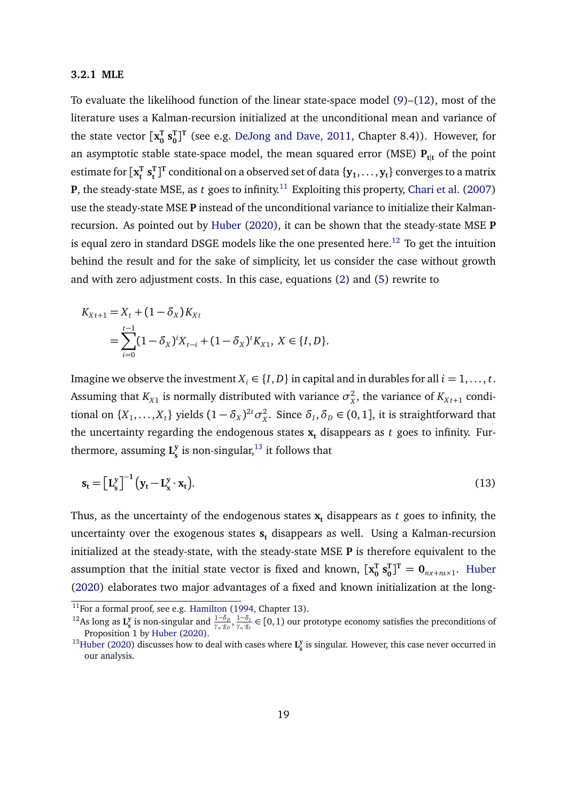#### **3.2.1 MLE**

To evaluate the likelihood function of the linear state-space model [\(9\)](#page-13-0)–[\(12\)](#page-13-1), most of the literature uses a Kalman-recursion initialized at the unconditional mean and variance of the state vector  $\mathbf{x}_0^{\mathrm{T}}$  $\mathbf{s}_0^{\text{T}}$  $_{0}^{T}]^{T}$  (see e.g. [DeJong and Dave,](#page-32-3) [2011,](#page-32-3) Chapter 8.4)). However, for an asymptotic stable state-space model, the mean squared error (MSE)  $P_{tl}$  of the point estimate for  $\mathbf{x}_{\text{t}}^{\text{T}}$  $\mathbf{s}_t^{\mathrm{T}}$   $\mathbf{s}_t^{\mathrm{T}}$  $\mathbf{f}^{\text{T}}$  conditional on a observed set of data  $\{\mathbf{y}_1, \dots, \mathbf{y}_t\}$  converges to a matrix **P**, the steady-state MSE, as  $t$  goes to infinity.<sup>[11](#page-0-0)</sup> Exploiting this property, [Chari et al.](#page-32-0) [\(2007\)](#page-32-0) use the steady-state MSE **P** instead of the unconditional variance to initialize their Kalmanrecursion. As pointed out by [Huber](#page-33-5) [\(2020\)](#page-33-5), it can be shown that the steady-state MSE **P** is equal zero in standard DSGE models like the one presented here.<sup>[12](#page-0-0)</sup> To get the intuition behind the result and for the sake of simplicity, let us consider the case without growth and with zero adjustment costs. In this case, equations [\(2\)](#page-11-0) and [\(5\)](#page-12-1) rewrite to

$$
K_{Xt+1} = X_t + (1 - \delta_X) K_{Xt}
$$
  
= 
$$
\sum_{i=0}^{t-1} (1 - \delta_X)^i X_{t-i} + (1 - \delta_X)^t K_{X1}, X \in \{I, D\}.
$$

Imagine we observe the investment  $X_i \in \{I, D\}$  in capital and in durables for all  $i = 1, ..., t$ . Assuming that  $K_{X1}$  is normally distributed with variance  $\sigma_X^2$  $\frac{2}{X}$ , the variance of  $K_{Xt+1}$  conditional on  $\{X_1, \ldots, X_t\}$  yields  $(1 - \delta_X)^{2t} \sigma_X^2$ <sup>2</sup>/<sub>*X*</sub>. Since *δ*<sub>*I*</sub>, *δ*<sub>*D*</sub> ∈ (0, 1], it is straightforward that the uncertainty regarding the endogenous states  $x_t$  disappears as  $t$  goes to infinity. Furthermore, assuming **L y**  $\frac{y}{s}$  is non-singular, $^{13}$  $^{13}$  $^{13}$  it follows that

$$
\mathbf{s}_{t} = \left[\mathbf{L}_{s}^{y}\right]^{-1} \left(\mathbf{y}_{t} - \mathbf{L}_{x}^{y} \cdot \mathbf{x}_{t}\right). \tag{13}
$$

Thus, as the uncertainty of the endogenous states  $x_t$  disappears as  $t$  goes to infinity, the uncertainty over the exogenous states **s<sup>t</sup>** disappears as well. Using a Kalman-recursion initialized at the steady-state, with the steady-state MSE **P** is therefore equivalent to the assumption that the initial state vector is fixed and known,  $\mathbf{[x_0^T}$  $\frac{1}{0}$  **s** $\frac{1}{0}$  $\mathbf{0}_0^{\mathrm{T}}$ ]<sup>T</sup> =  $\mathbf{0}_{nx+ns\times 1}$ . [Huber](#page-33-5) [\(2020\)](#page-33-5) elaborates two major advantages of a fixed and known initialization at the long-

<sup>&</sup>lt;sup>11</sup>For a formal proof, see e.g. [Hamilton](#page-33-8) [\(1994,](#page-33-8) Chapter 13).

<sup>&</sup>lt;sup>12</sup>As long as **L**<sup>y</sup><sub>s</sub> is non-singular and  $\frac{1-\delta_D}{\gamma_n \cdot g_D}, \frac{1-\delta_D}{\gamma_n \cdot g_I}$  $\frac{1-\delta_I}{\gamma_n \cdot g_I} \in [0,1)$  our prototype economy satisfies the preconditions of Proposition 1 by [Huber](#page-33-5) [\(2020\)](#page-33-5).

<sup>&</sup>lt;sup>13</sup>[Huber](#page-33-5) [\(2020\)](#page-33-5) discusses how to deal with cases where  $L_s^y$  is singular. However, this case never occurred in our analysis.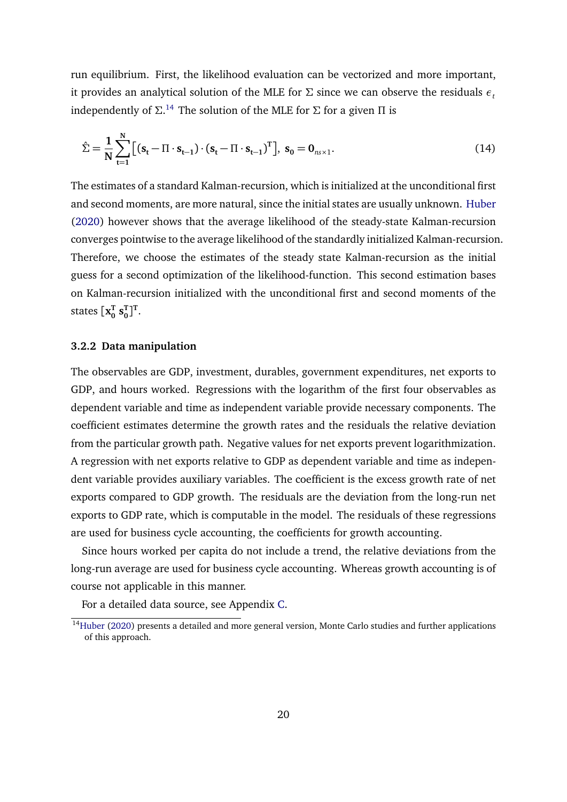run equilibrium. First, the likelihood evaluation can be vectorized and more important, it provides an analytical solution of the MLE for *Σ* since we can observe the residuals *ε<sup>t</sup>* independently of *Σ*. [14](#page-0-0) The solution of the MLE for *Σ* for a given *Π* is

$$
\hat{\Sigma} = \frac{1}{N} \sum_{t=1}^{N} \left[ \left( \mathbf{s}_t - \Pi \cdot \mathbf{s}_{t-1} \right) \cdot \left( \mathbf{s}_t - \Pi \cdot \mathbf{s}_{t-1} \right)^T \right], \ \mathbf{s}_0 = \mathbf{0}_{n_s \times 1}.
$$
\n(14)

The estimates of a standard Kalman-recursion, which is initialized at the unconditional first and second moments, are more natural, since the initial states are usually unknown. [Huber](#page-33-5) [\(2020\)](#page-33-5) however shows that the average likelihood of the steady-state Kalman-recursion converges pointwise to the average likelihood of the standardly initialized Kalman-recursion. Therefore, we choose the estimates of the steady state Kalman-recursion as the initial guess for a second optimization of the likelihood-function. This second estimation bases on Kalman-recursion initialized with the unconditional first and second moments of the states  $\mathbf{x_0^T}$  $\mathbf{s}_0^{\text{T}}$  $_{0}^{\mathrm{T}}$ ] $^{\mathrm{T}}$ .

#### <span id="page-20-0"></span>**3.2.2 Data manipulation**

The observables are GDP, investment, durables, government expenditures, net exports to GDP, and hours worked. Regressions with the logarithm of the first four observables as dependent variable and time as independent variable provide necessary components. The coefficient estimates determine the growth rates and the residuals the relative deviation from the particular growth path. Negative values for net exports prevent logarithmization. A regression with net exports relative to GDP as dependent variable and time as independent variable provides auxiliary variables. The coefficient is the excess growth rate of net exports compared to GDP growth. The residuals are the deviation from the long-run net exports to GDP rate, which is computable in the model. The residuals of these regressions are used for business cycle accounting, the coefficients for growth accounting.

Since hours worked per capita do not include a trend, the relative deviations from the long-run average are used for business cycle accounting. Whereas growth accounting is of course not applicable in this manner.

For a detailed data source, see Appendix [C.](#page-41-0)

<sup>&</sup>lt;sup>14</sup>[Huber](#page-33-5) [\(2020\)](#page-33-5) presents a detailed and more general version, Monte Carlo studies and further applications of this approach.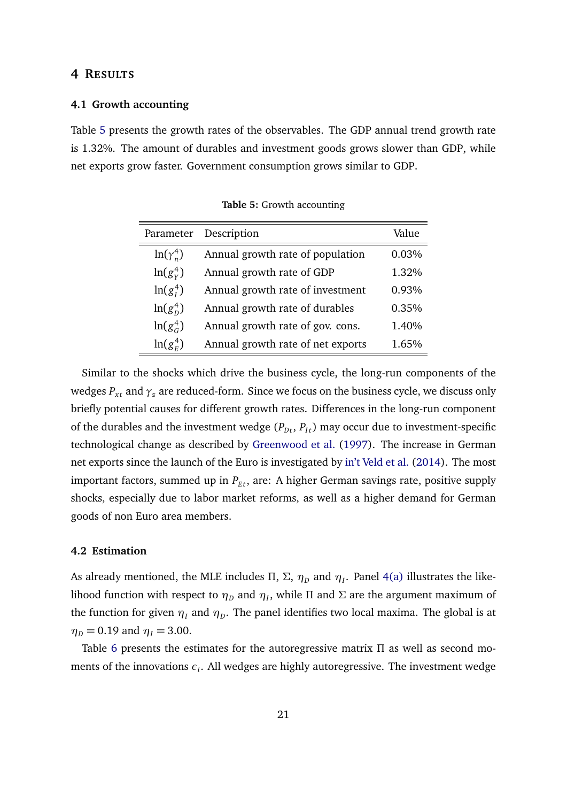#### <span id="page-21-0"></span>**4 RESULTS**

#### **4.1 Growth accounting**

<span id="page-21-1"></span>Table [5](#page-21-1) presents the growth rates of the observables. The GDP annual trend growth rate is 1.32%. The amount of durables and investment goods grows slower than GDP, while net exports grow faster. Government consumption grows similar to GDP.

| Parameter        | Description                       | Value |
|------------------|-----------------------------------|-------|
| $ln(\gamma_n^4)$ | Annual growth rate of population  | 0.03% |
| $\ln(g_v^4)$     | Annual growth rate of GDP         | 1.32% |
| $ln(g_t^4)$      | Annual growth rate of investment  | 0.93% |
| $ln(g_n^4)$      | Annual growth rate of durables    | 0.35% |
| $\ln(g_c^4)$     | Annual growth rate of gov. cons.  | 1.40% |
| $\ln(g_r^4)$     | Annual growth rate of net exports | 1.65% |

**Table 5:** Growth accounting

Similar to the shocks which drive the business cycle, the long-run components of the wedges  $P_{xt}$  and  $\gamma_z$  are reduced-form. Since we focus on the business cycle, we discuss only briefly potential causes for different growth rates. Differences in the long-run component of the durables and the investment wedge  $(P_{Dt}, P_{It})$  may occur due to investment-specific technological change as described by [Greenwood et al.](#page-33-9) [\(1997\)](#page-33-9). The increase in German net exports since the launch of the Euro is investigated by [in't Veld et al.](#page-33-10) [\(2014\)](#page-33-10). The most important factors, summed up in  $P_{Et}$ , are: A higher German savings rate, positive supply shocks, especially due to labor market reforms, as well as a higher demand for German goods of non Euro area members.

#### **4.2 Estimation**

As already mentioned, the MLE includes Π, Σ,  $\eta_D$  and  $\eta_I$ . Panel [4\(a\)](#page-22-0) illustrates the likelihood function with respect to  $η_D$  and  $η_I$ , while Π and Σ are the argument maximum of the function for given  $\eta_I$  and  $\eta_D.$  The panel identifies two local maxima. The global is at  $\eta_D = 0.19$  and  $\eta_I = 3.00$ .

Table [6](#page-23-0) presents the estimates for the autoregressive matrix *Π* as well as second moments of the innovations *ε<sup>i</sup>* . All wedges are highly autoregressive. The investment wedge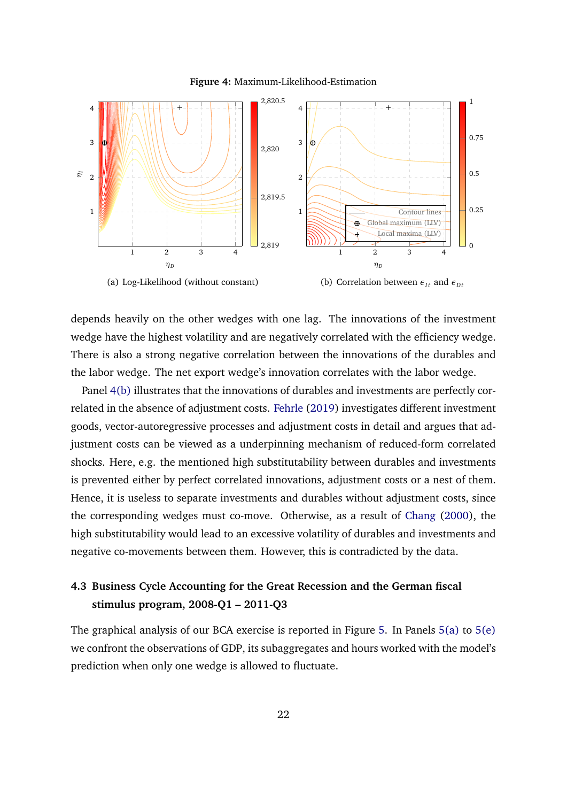<span id="page-22-0"></span>

<span id="page-22-1"></span>**Figure 4:** Maximum-Likelihood-Estimation

depends heavily on the other wedges with one lag. The innovations of the investment wedge have the highest volatility and are negatively correlated with the efficiency wedge. There is also a strong negative correlation between the innovations of the durables and the labor wedge. The net export wedge's innovation correlates with the labor wedge.

Panel [4\(b\)](#page-22-1) illustrates that the innovations of durables and investments are perfectly correlated in the absence of adjustment costs. [Fehrle](#page-32-12) [\(2019\)](#page-32-12) investigates different investment goods, vector-autoregressive processes and adjustment costs in detail and argues that adjustment costs can be viewed as a underpinning mechanism of reduced-form correlated shocks. Here, e.g. the mentioned high substitutability between durables and investments is prevented either by perfect correlated innovations, adjustment costs or a nest of them. Hence, it is useless to separate investments and durables without adjustment costs, since the corresponding wedges must co-move. Otherwise, as a result of [Chang](#page-31-5) [\(2000\)](#page-31-5), the high substitutability would lead to an excessive volatility of durables and investments and negative co-movements between them. However, this is contradicted by the data.

## **4.3 Business Cycle Accounting for the Great Recession and the German fiscal stimulus program, 2008-Q1 – 2011-Q3**

The graphical analysis of our BCA exercise is reported in Figure [5.](#page-24-0) In Panels [5\(a\)](#page-24-1) to [5\(e\)](#page-24-2) we confront the observations of GDP, its subaggregates and hours worked with the model's prediction when only one wedge is allowed to fluctuate.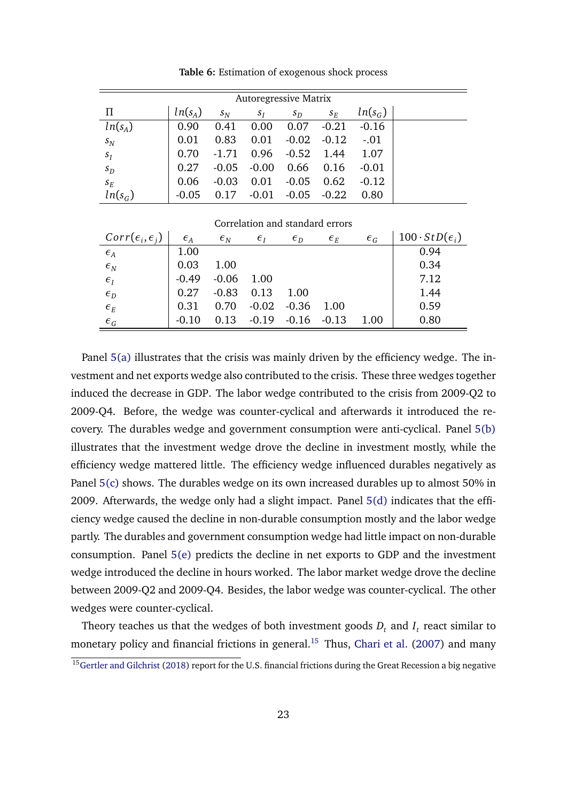<span id="page-23-0"></span>

| <b>Autoregressive Matrix</b> |           |         |         |         |         |           |  |  |  |
|------------------------------|-----------|---------|---------|---------|---------|-----------|--|--|--|
| $\prod$                      | $ln(s_A)$ | $s_N$   | $S_I$   | $s_D$   | $S_E$   | $ln(s_G)$ |  |  |  |
| $ln(s_A)$                    | 0.90      | 0.41    | 0.00    | 0.07    | $-0.21$ | $-0.16$   |  |  |  |
| $S_N$                        | 0.01      | 0.83    | 0.01    | $-0.02$ | $-0.12$ | $-.01$    |  |  |  |
| $S_I$                        | 0.70      | $-1.71$ | 0.96    | $-0.52$ | 1.44    | 1.07      |  |  |  |
| $s_D$                        | 0.27      | $-0.05$ | $-0.00$ | 0.66    | 0.16    | $-0.01$   |  |  |  |
| $S_E$                        | 0.06      | $-0.03$ | 0.01    | $-0.05$ | 0.62    | $-0.12$   |  |  |  |
| $ln(s_G)$                    | $-0.05$   | 0.17    | $-0.01$ | $-0.05$ | $-0.22$ | 0.80      |  |  |  |

**Table 6:** Estimation of exogenous shock process

| Correlation and standard errors   |              |                |                |                |                                   |                |                             |  |
|-----------------------------------|--------------|----------------|----------------|----------------|-----------------------------------|----------------|-----------------------------|--|
| $Corr(\epsilon_i, \epsilon_i)$    | $\epsilon_A$ | $\epsilon_{N}$ | $\epsilon_{I}$ | $\epsilon_{D}$ | $\epsilon_{\scriptscriptstyle E}$ | $\epsilon_{G}$ | $100 \cdot StD(\epsilon_i)$ |  |
| $\epsilon_{\scriptscriptstyle A}$ | 1.00         |                |                |                |                                   |                | 0.94                        |  |
| $\epsilon_{\scriptscriptstyle N}$ | 0.03         | 1.00           |                |                |                                   |                | 0.34                        |  |
| $\epsilon_I$                      | $-0.49$      | $-0.06$        | 1.00           |                |                                   |                | 7.12                        |  |
| $\epsilon_{D}$                    | 0.27         | $-0.83$        | 0.13           | 1.00           |                                   |                | 1.44                        |  |
| $\epsilon_{\scriptscriptstyle E}$ | 0.31         | 0.70           | $-0.02$        | $-0.36$        | 1.00                              |                | 0.59                        |  |
| $\epsilon_{G}$                    |              | 0.13           | $-0.19$        | $-0.16$        | $-0.13$                           | 1.00           | 0.80                        |  |

Panel [5\(a\)](#page-24-1) illustrates that the crisis was mainly driven by the efficiency wedge. The investment and net exports wedge also contributed to the crisis. These three wedges together induced the decrease in GDP. The labor wedge contributed to the crisis from 2009-Q2 to 2009-Q4. Before, the wedge was counter-cyclical and afterwards it introduced the recovery. The durables wedge and government consumption were anti-cyclical. Panel [5\(b\)](#page-24-3) illustrates that the investment wedge drove the decline in investment mostly, while the efficiency wedge mattered little. The efficiency wedge influenced durables negatively as Panel [5\(c\)](#page-24-4) shows. The durables wedge on its own increased durables up to almost 50% in 2009. Afterwards, the wedge only had a slight impact. Panel [5\(d\)](#page-24-5) indicates that the efficiency wedge caused the decline in non-durable consumption mostly and the labor wedge partly. The durables and government consumption wedge had little impact on non-durable consumption. Panel [5\(e\)](#page-24-2) predicts the decline in net exports to GDP and the investment wedge introduced the decline in hours worked. The labor market wedge drove the decline between 2009-Q2 and 2009-Q4. Besides, the labor wedge was counter-cyclical. The other wedges were counter-cyclical.

Theory teaches us that the wedges of both investment goods  $D_t$  and  $I_t$  react similar to monetary policy and financial frictions in general.<sup>[15](#page-0-0)</sup> Thus, [Chari et al.](#page-32-0) [\(2007\)](#page-32-0) and many

 $\frac{15}{15}$ [Gertler and Gilchrist](#page-33-11) [\(2018\)](#page-33-11) report for the U.S. financial frictions during the Great Recession a big negative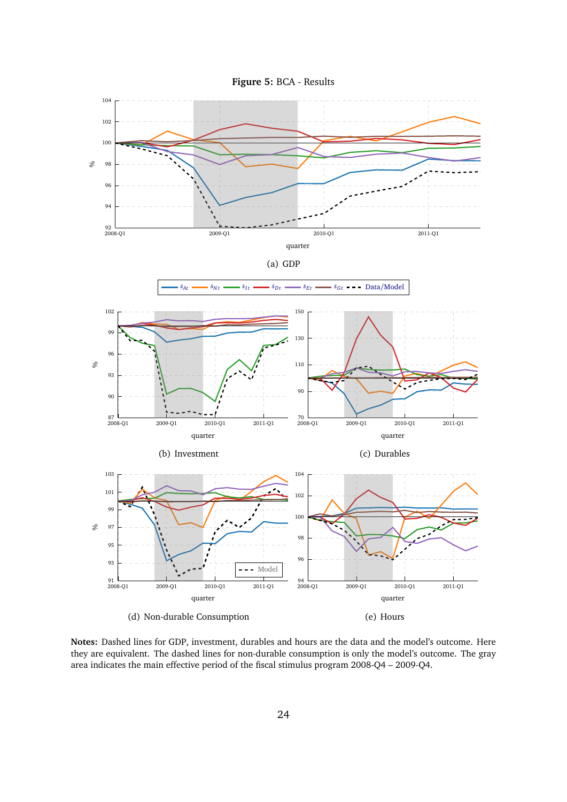<span id="page-24-3"></span><span id="page-24-0"></span>

<span id="page-24-5"></span><span id="page-24-4"></span><span id="page-24-2"></span><span id="page-24-1"></span>**Notes:** Dashed lines for GDP, investment, durables and hours are the data and the model's outcome. Here they are equivalent. The dashed lines for non-durable consumption is only the model's outcome. The gray area indicates the main effective period of the fiscal stimulus program 2008-Q4 – 2009-Q4.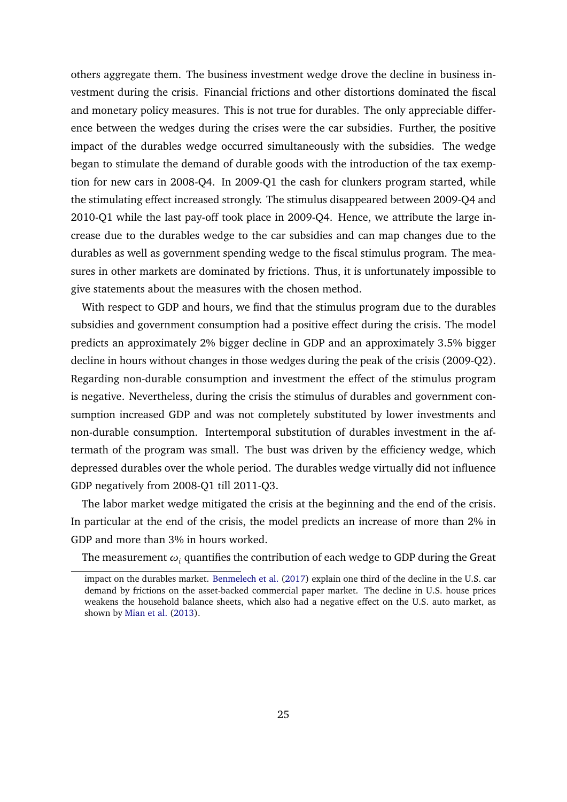others aggregate them. The business investment wedge drove the decline in business investment during the crisis. Financial frictions and other distortions dominated the fiscal and monetary policy measures. This is not true for durables. The only appreciable difference between the wedges during the crises were the car subsidies. Further, the positive impact of the durables wedge occurred simultaneously with the subsidies. The wedge began to stimulate the demand of durable goods with the introduction of the tax exemption for new cars in 2008-Q4. In 2009-Q1 the cash for clunkers program started, while the stimulating effect increased strongly. The stimulus disappeared between 2009-Q4 and 2010-Q1 while the last pay-off took place in 2009-Q4. Hence, we attribute the large increase due to the durables wedge to the car subsidies and can map changes due to the durables as well as government spending wedge to the fiscal stimulus program. The measures in other markets are dominated by frictions. Thus, it is unfortunately impossible to give statements about the measures with the chosen method.

With respect to GDP and hours, we find that the stimulus program due to the durables subsidies and government consumption had a positive effect during the crisis. The model predicts an approximately 2% bigger decline in GDP and an approximately 3.5% bigger decline in hours without changes in those wedges during the peak of the crisis (2009-Q2). Regarding non-durable consumption and investment the effect of the stimulus program is negative. Nevertheless, during the crisis the stimulus of durables and government consumption increased GDP and was not completely substituted by lower investments and non-durable consumption. Intertemporal substitution of durables investment in the aftermath of the program was small. The bust was driven by the efficiency wedge, which depressed durables over the whole period. The durables wedge virtually did not influence GDP negatively from 2008-Q1 till 2011-Q3.

The labor market wedge mitigated the crisis at the beginning and the end of the crisis. In particular at the end of the crisis, the model predicts an increase of more than 2% in GDP and more than 3% in hours worked.

The measurement  $\omega_i$  quantifies the contribution of each wedge to GDP during the Great

impact on the durables market. [Benmelech et al.](#page-31-7) [\(2017\)](#page-31-7) explain one third of the decline in the U.S. car demand by frictions on the asset-backed commercial paper market. The decline in U.S. house prices weakens the household balance sheets, which also had a negative effect on the U.S. auto market, as shown by [Mian et al.](#page-34-12) [\(2013\)](#page-34-12).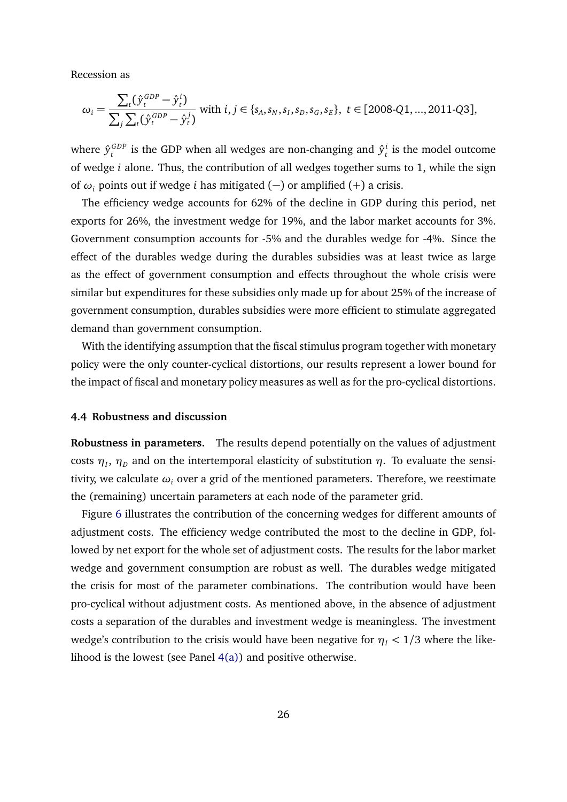Recession as

$$
\omega_i = \frac{\sum_t (\hat{y}_t^{GDP} - \hat{y}_t^i)}{\sum_j \sum_t (\hat{y}_t^{GDP} - \hat{y}_t^j)} \text{ with } i, j \in \{s_A, s_N, s_I, s_D, s_G, s_E\}, \ t \in [2008 \text{-}Q1, \dots, 2011 \text{-}Q3],
$$

where  $\hat{\mathbf{y}}_{t}^{GDP}$  $f_t^{GDP}$  is the GDP when all wedges are non-changing and  $\hat{y}_t^i$ *t* is the model outcome of wedge *i* alone. Thus, the contribution of all wedges together sums to 1, while the sign of *ω<sup>i</sup>* points out if wedge *i* has mitigated (−) or amplified (+) a crisis.

The efficiency wedge accounts for 62% of the decline in GDP during this period, net exports for 26%, the investment wedge for 19%, and the labor market accounts for 3%. Government consumption accounts for -5% and the durables wedge for -4%. Since the effect of the durables wedge during the durables subsidies was at least twice as large as the effect of government consumption and effects throughout the whole crisis were similar but expenditures for these subsidies only made up for about 25% of the increase of government consumption, durables subsidies were more efficient to stimulate aggregated demand than government consumption.

With the identifying assumption that the fiscal stimulus program together with monetary policy were the only counter-cyclical distortions, our results represent a lower bound for the impact of fiscal and monetary policy measures as well as for the pro-cyclical distortions.

#### **4.4 Robustness and discussion**

**Robustness in parameters.** The results depend potentially on the values of adjustment costs  $\eta_I, \, \eta_D$  and on the intertemporal elasticity of substitution  $\eta.$  To evaluate the sensitivity, we calculate *ω<sup>i</sup>* over a grid of the mentioned parameters. Therefore, we reestimate the (remaining) uncertain parameters at each node of the parameter grid.

Figure [6](#page-28-0) illustrates the contribution of the concerning wedges for different amounts of adjustment costs. The efficiency wedge contributed the most to the decline in GDP, followed by net export for the whole set of adjustment costs. The results for the labor market wedge and government consumption are robust as well. The durables wedge mitigated the crisis for most of the parameter combinations. The contribution would have been pro-cyclical without adjustment costs. As mentioned above, in the absence of adjustment costs a separation of the durables and investment wedge is meaningless. The investment wedge's contribution to the crisis would have been negative for  $\eta_I < 1/3$  where the likelihood is the lowest (see Panel [4\(a\)\)](#page-22-0) and positive otherwise.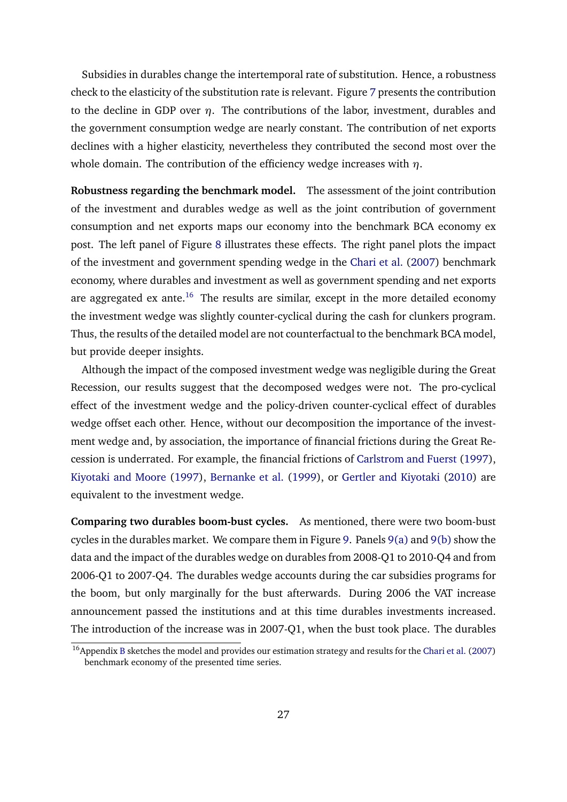Subsidies in durables change the intertemporal rate of substitution. Hence, a robustness check to the elasticity of the substitution rate is relevant. Figure [7](#page-29-0) presents the contribution to the decline in GDP over *η*. The contributions of the labor, investment, durables and the government consumption wedge are nearly constant. The contribution of net exports declines with a higher elasticity, nevertheless they contributed the second most over the whole domain. The contribution of the efficiency wedge increases with *η*.

**Robustness regarding the benchmark model.** The assessment of the joint contribution of the investment and durables wedge as well as the joint contribution of government consumption and net exports maps our economy into the benchmark BCA economy ex post. The left panel of Figure [8](#page-29-1) illustrates these effects. The right panel plots the impact of the investment and government spending wedge in the [Chari et al.](#page-32-0) [\(2007\)](#page-32-0) benchmark economy, where durables and investment as well as government spending and net exports are aggregated ex ante.<sup>[16](#page-0-0)</sup> The results are similar, except in the more detailed economy the investment wedge was slightly counter-cyclical during the cash for clunkers program. Thus, the results of the detailed model are not counterfactual to the benchmark BCA model, but provide deeper insights.

Although the impact of the composed investment wedge was negligible during the Great Recession, our results suggest that the decomposed wedges were not. The pro-cyclical effect of the investment wedge and the policy-driven counter-cyclical effect of durables wedge offset each other. Hence, without our decomposition the importance of the investment wedge and, by association, the importance of financial frictions during the Great Recession is underrated. For example, the financial frictions of [Carlstrom and Fuerst](#page-31-8) [\(1997\)](#page-31-8), [Kiyotaki and Moore](#page-34-13) [\(1997\)](#page-34-13), [Bernanke et al.](#page-31-9) [\(1999\)](#page-31-9), or [Gertler and Kiyotaki](#page-33-12) [\(2010\)](#page-33-12) are equivalent to the investment wedge.

**Comparing two durables boom-bust cycles.** As mentioned, there were two boom-bust cycles in the durables market. We compare them in Figure [9.](#page-30-0) Panels [9\(a\)](#page-30-1) and [9\(b\)](#page-30-2) show the data and the impact of the durables wedge on durables from 2008-Q1 to 2010-Q4 and from 2006-Q1 to 2007-Q4. The durables wedge accounts during the car subsidies programs for the boom, but only marginally for the bust afterwards. During 2006 the VAT increase announcement passed the institutions and at this time durables investments increased. The introduction of the increase was in 2007-Q1, when the bust took place. The durables

<sup>&</sup>lt;sup>16</sup> Appendix [B](#page-39-0) sketches the model and provides our estimation strategy and results for the [Chari et al.](#page-32-0) [\(2007\)](#page-32-0) benchmark economy of the presented time series.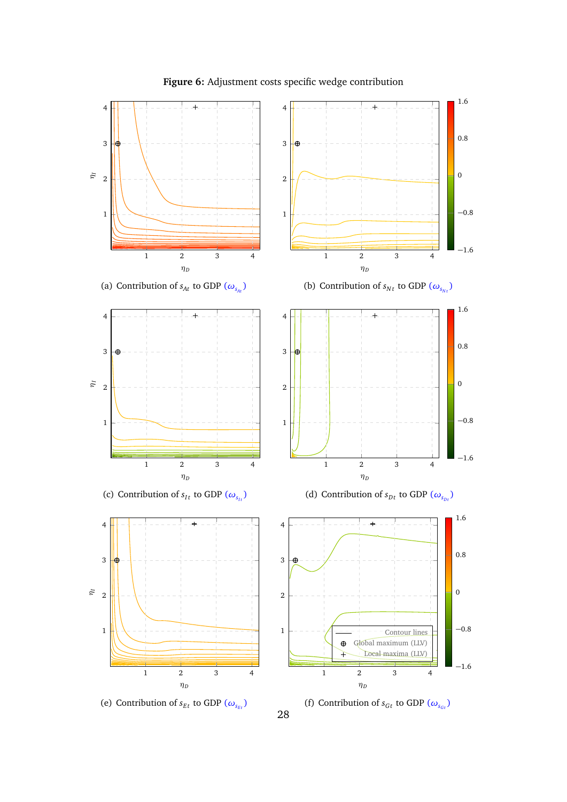<span id="page-28-0"></span>

**Figure 6:** Adjustment costs specific wedge contribution

28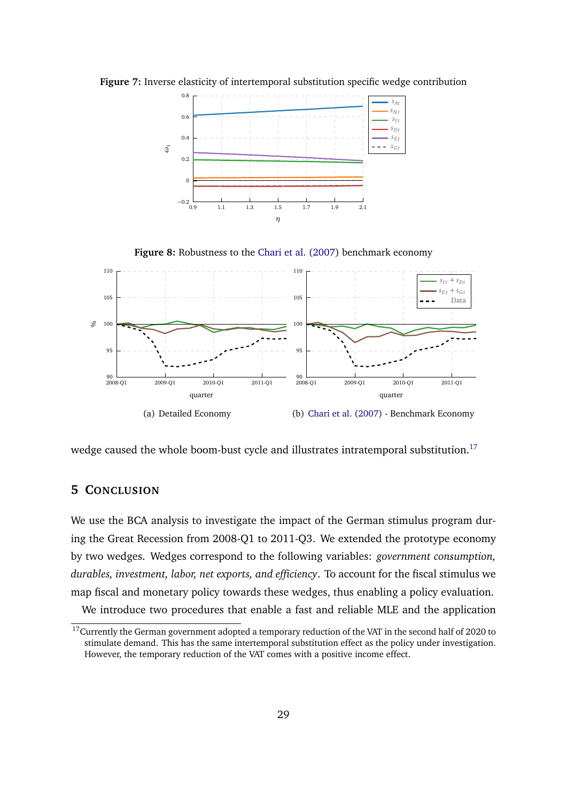

<span id="page-29-0"></span>**Figure 7:** Inverse elasticity of intertemporal substitution specific wedge contribution

**Figure 8:** Robustness to the [Chari et al.](#page-32-0) [\(2007\)](#page-32-0) benchmark economy

<span id="page-29-1"></span>

wedge caused the whole boom-bust cycle and illustrates intratemporal substitution.<sup>[17](#page-0-0)</sup>

### **5 CONCLUSION**

We use the BCA analysis to investigate the impact of the German stimulus program during the Great Recession from 2008-Q1 to 2011-Q3. We extended the prototype economy by two wedges. Wedges correspond to the following variables: *government consumption, durables, investment, labor, net exports, and efficiency*. To account for the fiscal stimulus we map fiscal and monetary policy towards these wedges, thus enabling a policy evaluation. We introduce two procedures that enable a fast and reliable MLE and the application

 $17$ Currently the German government adopted a temporary reduction of the VAT in the second half of 2020 to stimulate demand. This has the same intertemporal substitution effect as the policy under investigation. However, the temporary reduction of the VAT comes with a positive income effect.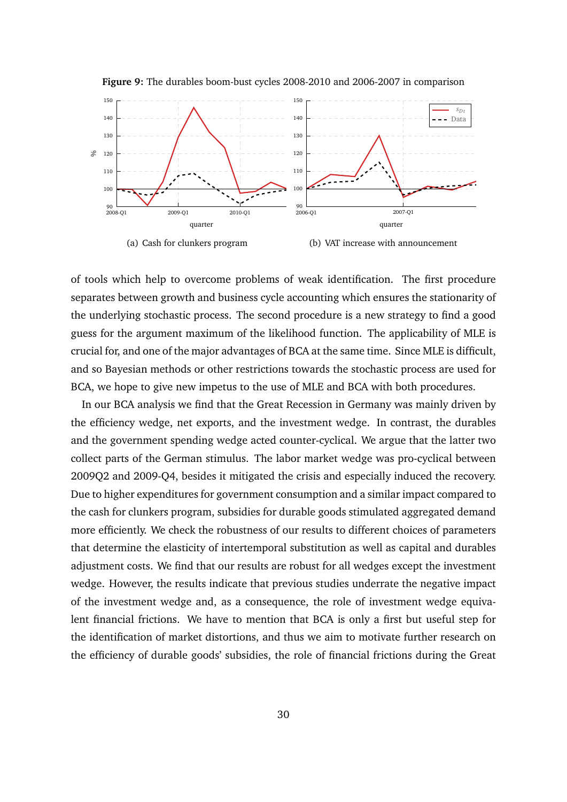<span id="page-30-1"></span><span id="page-30-0"></span>

**Figure 9:** The durables boom-bust cycles 2008-2010 and 2006-2007 in comparison

<span id="page-30-2"></span>of tools which help to overcome problems of weak identification. The first procedure separates between growth and business cycle accounting which ensures the stationarity of the underlying stochastic process. The second procedure is a new strategy to find a good guess for the argument maximum of the likelihood function. The applicability of MLE is crucial for, and one of the major advantages of BCA at the same time. Since MLE is difficult, and so Bayesian methods or other restrictions towards the stochastic process are used for BCA, we hope to give new impetus to the use of MLE and BCA with both procedures.

In our BCA analysis we find that the Great Recession in Germany was mainly driven by the efficiency wedge, net exports, and the investment wedge. In contrast, the durables and the government spending wedge acted counter-cyclical. We argue that the latter two collect parts of the German stimulus. The labor market wedge was pro-cyclical between 2009Q2 and 2009-Q4, besides it mitigated the crisis and especially induced the recovery. Due to higher expenditures for government consumption and a similar impact compared to the cash for clunkers program, subsidies for durable goods stimulated aggregated demand more efficiently. We check the robustness of our results to different choices of parameters that determine the elasticity of intertemporal substitution as well as capital and durables adjustment costs. We find that our results are robust for all wedges except the investment wedge. However, the results indicate that previous studies underrate the negative impact of the investment wedge and, as a consequence, the role of investment wedge equivalent financial frictions. We have to mention that BCA is only a first but useful step for the identification of market distortions, and thus we aim to motivate further research on the efficiency of durable goods' subsidies, the role of financial frictions during the Great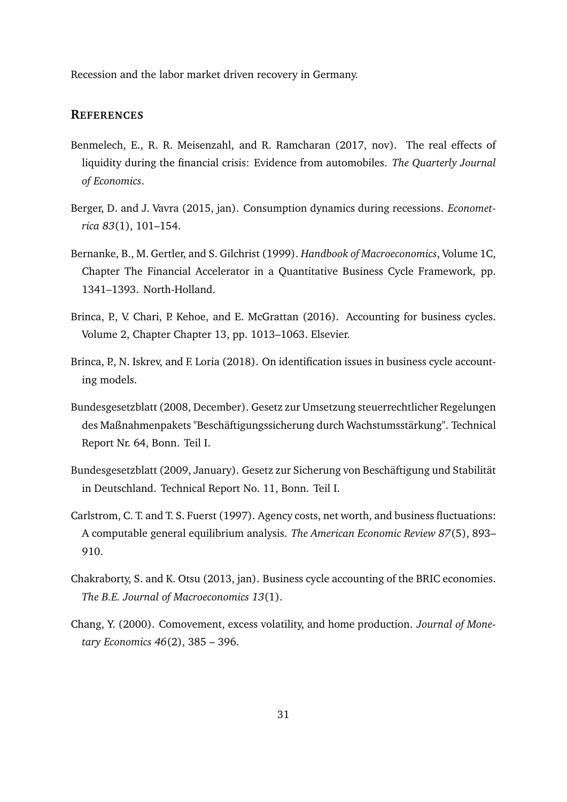Recession and the labor market driven recovery in Germany.

#### **REFERENCES**

- <span id="page-31-7"></span>Benmelech, E., R. R. Meisenzahl, and R. Ramcharan (2017, nov). The real effects of liquidity during the financial crisis: Evidence from automobiles. *The Quarterly Journal of Economics*.
- <span id="page-31-2"></span>Berger, D. and J. Vavra (2015, jan). Consumption dynamics during recessions. *Econometrica 83*(1), 101–154.
- <span id="page-31-9"></span>Bernanke, B., M. Gertler, and S. Gilchrist (1999). *Handbook of Macroeconomics*, Volume 1C, Chapter The Financial Accelerator in a Quantitative Business Cycle Framework, pp. 1341–1393. North-Holland.
- <span id="page-31-0"></span>Brinca, P., V. Chari, P. Kehoe, and E. McGrattan (2016). Accounting for business cycles. Volume 2, Chapter Chapter 13, pp. 1013–1063. Elsevier.
- <span id="page-31-1"></span>Brinca, P., N. Iskrev, and F. Loria (2018). On identification issues in business cycle accounting models.
- <span id="page-31-3"></span>Bundesgesetzblatt (2008, December). Gesetz zur Umsetzung steuerrechtlicher Regelungen des Maßnahmenpakets "Beschäftigungssicherung durch Wachstumsstärkung". Technical Report Nr. 64, Bonn. Teil I.
- <span id="page-31-4"></span>Bundesgesetzblatt (2009, January). Gesetz zur Sicherung von Beschäftigung und Stabilität in Deutschland. Technical Report No. 11, Bonn. Teil I.
- <span id="page-31-8"></span>Carlstrom, C. T. and T. S. Fuerst (1997). Agency costs, net worth, and business fluctuations: A computable general equilibrium analysis. *The American Economic Review 87*(5), 893– 910.
- <span id="page-31-6"></span>Chakraborty, S. and K. Otsu (2013, jan). Business cycle accounting of the BRIC economies. *The B.E. Journal of Macroeconomics 13*(1).
- <span id="page-31-5"></span>Chang, Y. (2000). Comovement, excess volatility, and home production. *Journal of Monetary Economics 46*(2), 385 – 396.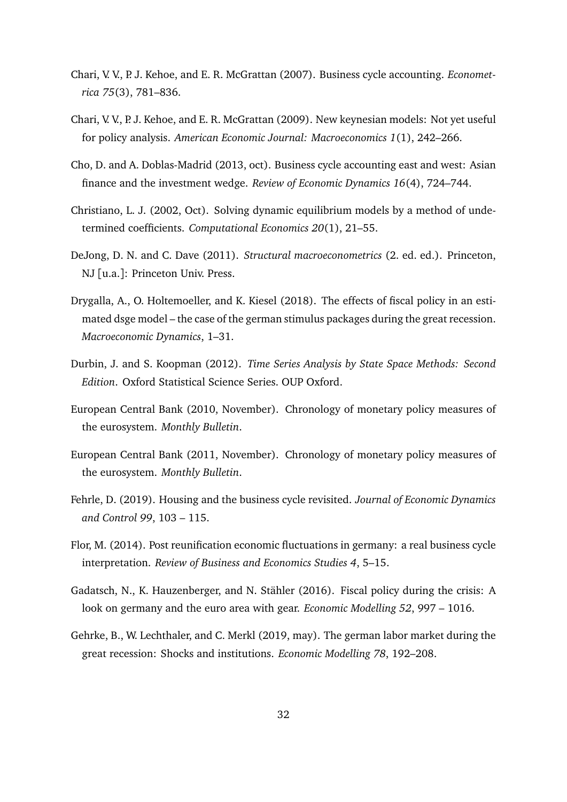- <span id="page-32-0"></span>Chari, V. V., P. J. Kehoe, and E. R. McGrattan (2007). Business cycle accounting. *Econometrica 75*(3), 781–836.
- <span id="page-32-1"></span>Chari, V. V., P. J. Kehoe, and E. R. McGrattan (2009). New keynesian models: Not yet useful for policy analysis. *American Economic Journal: Macroeconomics 1*(1), 242–266.
- <span id="page-32-2"></span>Cho, D. and A. Doblas-Madrid (2013, oct). Business cycle accounting east and west: Asian finance and the investment wedge. *Review of Economic Dynamics 16*(4), 724–744.
- <span id="page-32-10"></span>Christiano, L. J. (2002, Oct). Solving dynamic equilibrium models by a method of undetermined coefficients. *Computational Economics 20*(1), 21–55.
- <span id="page-32-3"></span>DeJong, D. N. and C. Dave (2011). *Structural macroeconometrics* (2. ed. ed.). Princeton, NJ [u.a.]: Princeton Univ. Press.
- <span id="page-32-5"></span>Drygalla, A., O. Holtemoeller, and K. Kiesel (2018). The effects of fiscal policy in an estimated dsge model – the case of the german stimulus packages during the great recession. *Macroeconomic Dynamics*, 1–31.
- <span id="page-32-11"></span>Durbin, J. and S. Koopman (2012). *Time Series Analysis by State Space Methods: Second Edition*. Oxford Statistical Science Series. OUP Oxford.
- <span id="page-32-7"></span>European Central Bank (2010, November). Chronology of monetary policy measures of the eurosystem. *Monthly Bulletin*.
- <span id="page-32-8"></span>European Central Bank (2011, November). Chronology of monetary policy measures of the eurosystem. *Monthly Bulletin*.
- <span id="page-32-12"></span>Fehrle, D. (2019). Housing and the business cycle revisited. *Journal of Economic Dynamics and Control 99*, 103 – 115.
- <span id="page-32-9"></span>Flor, M. (2014). Post reunification economic fluctuations in germany: a real business cycle interpretation. *Review of Business and Economics Studies 4*, 5–15.
- <span id="page-32-6"></span>Gadatsch, N., K. Hauzenberger, and N. Stähler (2016). Fiscal policy during the crisis: A look on germany and the euro area with gear. *Economic Modelling 52*, 997 – 1016.
- <span id="page-32-4"></span>Gehrke, B., W. Lechthaler, and C. Merkl (2019, may). The german labor market during the great recession: Shocks and institutions. *Economic Modelling 78*, 192–208.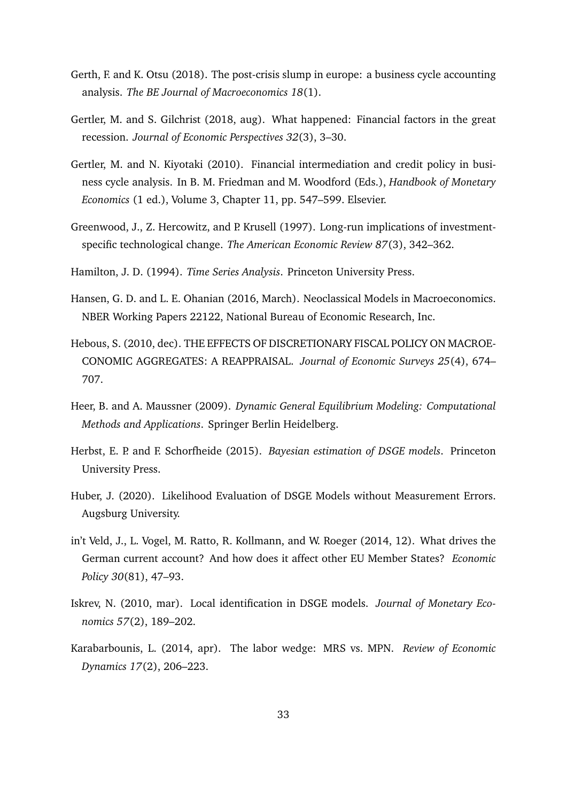- <span id="page-33-3"></span>Gerth, F. and K. Otsu (2018). The post-crisis slump in europe: a business cycle accounting analysis. *The BE Journal of Macroeconomics 18*(1).
- <span id="page-33-11"></span>Gertler, M. and S. Gilchrist (2018, aug). What happened: Financial factors in the great recession. *Journal of Economic Perspectives 32*(3), 3–30.
- <span id="page-33-12"></span>Gertler, M. and N. Kiyotaki (2010). Financial intermediation and credit policy in business cycle analysis. In B. M. Friedman and M. Woodford (Eds.), *Handbook of Monetary Economics* (1 ed.), Volume 3, Chapter 11, pp. 547–599. Elsevier.
- <span id="page-33-9"></span>Greenwood, J., Z. Hercowitz, and P. Krusell (1997). Long-run implications of investmentspecific technological change. *The American Economic Review 87*(3), 342–362.
- <span id="page-33-8"></span>Hamilton, J. D. (1994). *Time Series Analysis*. Princeton University Press.
- <span id="page-33-2"></span>Hansen, G. D. and L. E. Ohanian (2016, March). Neoclassical Models in Macroeconomics. NBER Working Papers 22122, National Bureau of Economic Research, Inc.
- <span id="page-33-0"></span>Hebous, S. (2010, dec). THE EFFECTS OF DISCRETIONARY FISCAL POLICY ON MACROE-CONOMIC AGGREGATES: A REAPPRAISAL. *Journal of Economic Surveys 25*(4), 674– 707.
- <span id="page-33-6"></span>Heer, B. and A. Maussner (2009). *Dynamic General Equilibrium Modeling: Computational Methods and Applications*. Springer Berlin Heidelberg.
- <span id="page-33-7"></span>Herbst, E. P. and F. Schorfheide (2015). *Bayesian estimation of DSGE models*. Princeton University Press.
- <span id="page-33-5"></span>Huber, J. (2020). Likelihood Evaluation of DSGE Models without Measurement Errors. Augsburg University.
- <span id="page-33-10"></span>in't Veld, J., L. Vogel, M. Ratto, R. Kollmann, and W. Roeger (2014, 12). What drives the German current account? And how does it affect other EU Member States? *Economic Policy 30*(81), 47–93.
- <span id="page-33-4"></span>Iskrev, N. (2010, mar). Local identification in DSGE models. *Journal of Monetary Economics 57*(2), 189–202.
- <span id="page-33-1"></span>Karabarbounis, L. (2014, apr). The labor wedge: MRS vs. MPN. *Review of Economic Dynamics 17*(2), 206–223.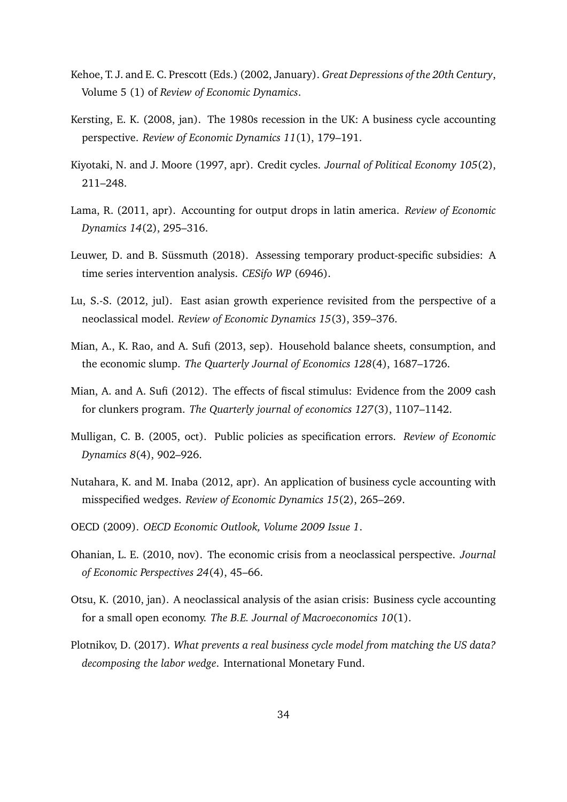- <span id="page-34-0"></span>Kehoe, T. J. and E. C. Prescott (Eds.) (2002, January). *Great Depressions of the 20th Century*, Volume 5 (1) of *Review of Economic Dynamics*.
- <span id="page-34-4"></span>Kersting, E. K. (2008, jan). The 1980s recession in the UK: A business cycle accounting perspective. *Review of Economic Dynamics 11*(1), 179–191.
- <span id="page-34-13"></span>Kiyotaki, N. and J. Moore (1997, apr). Credit cycles. *Journal of Political Economy 105*(2), 211–248.
- <span id="page-34-9"></span>Lama, R. (2011, apr). Accounting for output drops in latin america. *Review of Economic Dynamics 14*(2), 295–316.
- <span id="page-34-6"></span>Leuwer, D. and B. Süssmuth (2018). Assessing temporary product-specific subsidies: A time series intervention analysis. *CESifo WP* (6946).
- <span id="page-34-2"></span>Lu, S.-S. (2012, jul). East asian growth experience revisited from the perspective of a neoclassical model. *Review of Economic Dynamics 15*(3), 359–376.
- <span id="page-34-12"></span>Mian, A., K. Rao, and A. Sufi (2013, sep). Household balance sheets, consumption, and the economic slump. *The Quarterly Journal of Economics 128*(4), 1687–1726.
- <span id="page-34-5"></span>Mian, A. and A. Sufi (2012). The effects of fiscal stimulus: Evidence from the 2009 cash for clunkers program. *The Quarterly journal of economics 127*(3), 1107–1142.
- <span id="page-34-3"></span>Mulligan, C. B. (2005, oct). Public policies as specification errors. *Review of Economic Dynamics 8*(4), 902–926.
- <span id="page-34-8"></span>Nutahara, K. and M. Inaba (2012, apr). An application of business cycle accounting with misspecified wedges. *Review of Economic Dynamics 15*(2), 265–269.
- <span id="page-34-7"></span>OECD (2009). *OECD Economic Outlook, Volume 2009 Issue 1*.
- <span id="page-34-1"></span>Ohanian, L. E. (2010, nov). The economic crisis from a neoclassical perspective. *Journal of Economic Perspectives 24*(4), 45–66.
- <span id="page-34-10"></span>Otsu, K. (2010, jan). A neoclassical analysis of the asian crisis: Business cycle accounting for a small open economy. *The B.E. Journal of Macroeconomics 10*(1).
- <span id="page-34-11"></span>Plotnikov, D. (2017). *What prevents a real business cycle model from matching the US data? decomposing the labor wedge*. International Monetary Fund.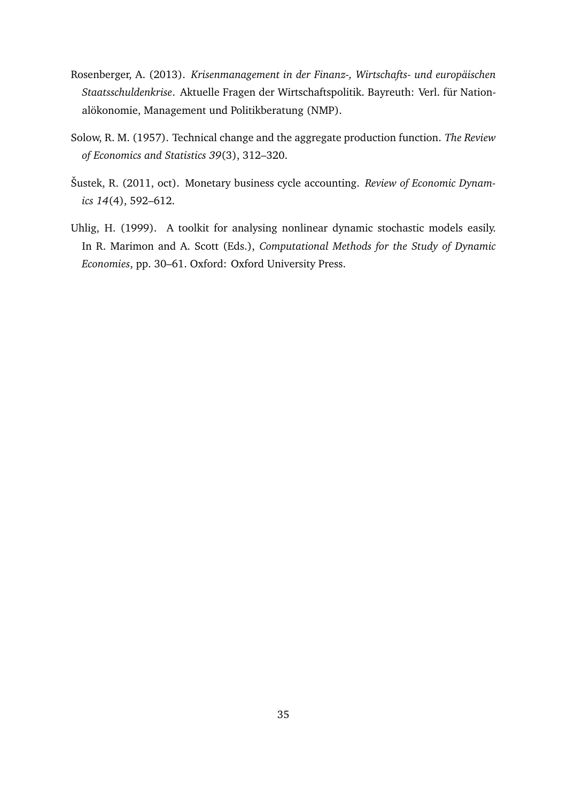- <span id="page-35-2"></span>Rosenberger, A. (2013). *Krisenmanagement in der Finanz-, Wirtschafts- und europäischen Staatsschuldenkrise*. Aktuelle Fragen der Wirtschaftspolitik. Bayreuth: Verl. für Nationalökonomie, Management und Politikberatung (NMP).
- <span id="page-35-0"></span>Solow, R. M. (1957). Technical change and the aggregate production function. *The Review of Economics and Statistics 39*(3), 312–320.
- <span id="page-35-1"></span>Šustek, R. (2011, oct). Monetary business cycle accounting. *Review of Economic Dynamics 14*(4), 592–612.
- <span id="page-35-3"></span>Uhlig, H. (1999). A toolkit for analysing nonlinear dynamic stochastic models easily. In R. Marimon and A. Scott (Eds.), *Computational Methods for the Study of Dynamic Economies*, pp. 30–61. Oxford: Oxford University Press.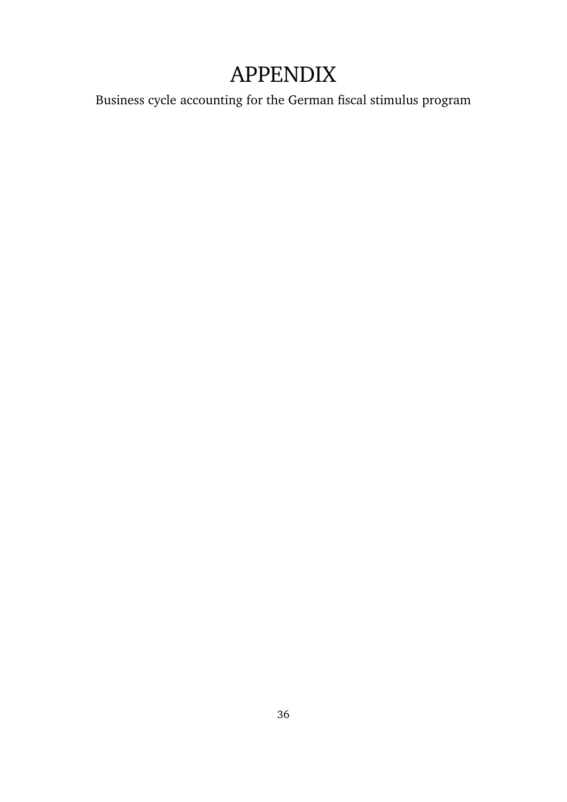# APPENDIX

Business cycle accounting for the German fiscal stimulus program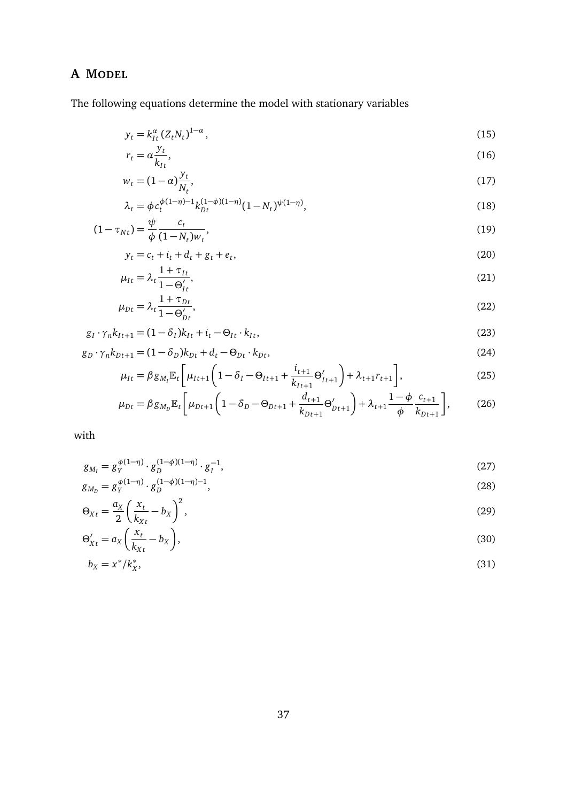# <span id="page-37-0"></span>**A MODEL**

The following equations determine the model with stationary variables

$$
y_t = k_{It}^{\alpha} (Z_t N_t)^{1-\alpha},
$$
\n
$$
y_t \tag{15}
$$

$$
r_t = \alpha \frac{y_t}{k_{It}},\tag{16}
$$

$$
w_t = (1 - \alpha) \frac{y_t}{N_t},\tag{17}
$$

$$
\lambda_t = \phi c_t^{\phi(1-\eta)-1} k_{Dt}^{(1-\phi)(1-\eta)} (1 - N_t)^{\psi(1-\eta)},
$$
\n(18)

$$
(1 - \tau_{Nt}) = \frac{\psi}{\phi} \frac{c_t}{(1 - N_t) w_t},\tag{19}
$$

$$
y_t = c_t + i_t + d_t + g_t + e_t,\tag{20}
$$

$$
\mu_{It} = \lambda_t \frac{1 + \tau_{It}}{1 - \Theta'_{It}},\tag{21}
$$

$$
\mu_{Dt} = \lambda_t \frac{1 + \tau_{Dt}}{1 - \Theta_{Dt}'},\tag{22}
$$

$$
g_I \cdot \gamma_n k_{It+1} = (1 - \delta_I)k_{It} + i_t - \Theta_{It} \cdot k_{It},
$$
\n
$$
(23)
$$

$$
g_D \cdot \gamma_n k_{Dt+1} = (1 - \delta_D)k_{Dt} + d_t - \Theta_{Dt} \cdot k_{Dt},
$$
\n(24)

$$
\mu_{It} = \beta g_{M_l} \mathbb{E}_t \left[ \mu_{It+1} \left( 1 - \delta_l - \Theta_{It+1} + \frac{i_{t+1}}{k_{It+1}} \Theta'_{It+1} \right) + \lambda_{t+1} r_{t+1} \right],
$$
(25)

$$
\mu_{Dt} = \beta g_{M_D} \mathbb{E}_t \left[ \mu_{Dt+1} \left( 1 - \delta_D - \Theta_{Dt+1} + \frac{d_{t+1}}{k_{Dt+1}} \Theta'_{Dt+1} \right) + \lambda_{t+1} \frac{1 - \phi}{\phi} \frac{c_{t+1}}{k_{Dt+1}} \right],
$$
(26)

with

$$
g_{M_I} = g_Y^{\phi(1-\eta)} \cdot g_D^{(1-\phi)(1-\eta)} \cdot g_I^{-1},\tag{27}
$$

$$
g_{M_D} = g_Y^{\phi(1-\eta)} \cdot g_D^{(1-\phi)(1-\eta)-1},\tag{28}
$$

$$
\Theta_{Xt} = \frac{a_X}{2} \left( \frac{x_t}{k_{Xt}} - b_X \right)^2,\tag{29}
$$

$$
\Theta'_{Xt} = a_X \left( \frac{x_t}{k_{Xt}} - b_X \right),\tag{30}
$$

$$
b_X = x^*/k_X^*,\tag{31}
$$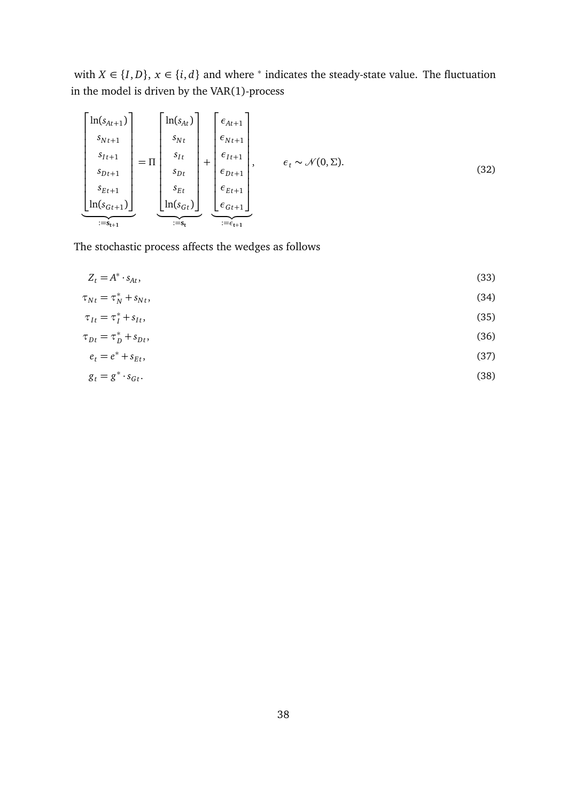with  $X \in \{I, D\}$ ,  $x \in \{i, d\}$  and where  $*$  indicates the steady-state value. The fluctuation in the model is driven by the VAR(1)-process

$$
\begin{bmatrix}\n\ln(s_{At+1}) \\
s_{Nt+1} \\
s_{It+1} \\
s_{Dt+1} \\
s_{Et+1} \\
\ln(s_{Gt+1})\n\end{bmatrix} = \Pi \begin{bmatrix}\n\ln(s_{At}) \\
s_{Nt} \\
s_{It} \\
s_{Dt} \\
s_{Dt} \\
s_{Et} \\
\text{if } s_{St}\n\end{bmatrix} + \begin{bmatrix}\n\epsilon_{At+1} \\
\epsilon_{Nt+1} \\
\epsilon_{It+1} \\
\epsilon_{Dt+1} \\
\epsilon_{Et+1} \\
\epsilon_{Et+1} \\
\epsilon_{Gt+1}\n\end{bmatrix}, \quad \epsilon_t \sim \mathcal{N}(0, \Sigma). \tag{32}
$$

The stochastic process affects the wedges as follows

$$
Z_t = A^* \cdot s_{At},\tag{33}
$$

$$
\tau_{Nt} = \tau_N^* + s_{Nt},\tag{34}
$$

$$
\tau_{It} = \tau_I^* + s_{It},\tag{35}
$$

$$
\tau_{Dt} = \tau_D^* + s_{Dt},\tag{36}
$$

$$
e_t = e^* + s_{Et},\tag{37}
$$

$$
g_t = g^* \cdot s_{Gt}.\tag{38}
$$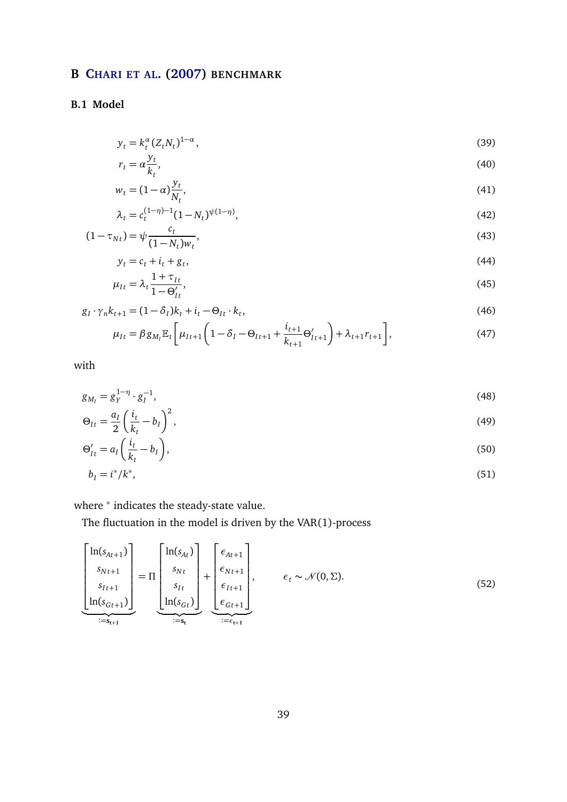# <span id="page-39-0"></span>**B C[HARI ET AL](#page-32-0). [\(2007\)](#page-32-0) BENCHMARK**

### **B.1 Model**

$$
y_t = k_t^{\alpha} (Z_t N_t)^{1-\alpha}, \qquad (39)
$$

$$
r_t = \alpha \frac{y_t}{k_t},\tag{40}
$$

$$
w_t = (1 - \alpha) \frac{y_t}{N_t},\tag{41}
$$

$$
\lambda_t = c_t^{(1-\eta)-1} (1 - N_t)^{\psi(1-\eta)},\tag{42}
$$

$$
(1 - \tau_{Nt}) = \psi \frac{c_t}{(1 - N_t) w_t},
$$
\n(43)

$$
y_t = c_t + i_t + g_t,\tag{44}
$$
\n
$$
y_t = 2 \quad 1 + \tau_{It} \tag{45}
$$

$$
\mu_{It} = \lambda_t \frac{1 - \mu_t}{1 - \Theta_{It}'}\tag{45}
$$

$$
g_l \cdot \gamma_n k_{t+1} = (1 - \delta_l)k_t + i_t - \Theta_{lt} \cdot k_t,
$$
\n
$$
\begin{array}{ccc}\n\cdot & \cdot & \cdot & \cdot & \cdot \\
\Gamma & \cdot & \cdot & \cdot & \cdot & \cdot \\
\Gamma & \cdot & \cdot & \cdot & \cdot & \cdot\n\end{array}
$$
\n(46)

$$
\mu_{It} = \beta g_{M_I} \mathbb{E}_t \left[ \mu_{It+1} \left( 1 - \delta_I - \Theta_{It+1} + \frac{i_{t+1}}{k_{t+1}} \Theta'_{It+1} \right) + \lambda_{t+1} r_{t+1} \right],
$$
\n(47)

with

$$
g_{M_I} = g_Y^{1-\eta} \cdot g_I^{-1},\tag{48}
$$

$$
\Theta_{It} = \frac{a_I}{2} \left( \frac{i_t}{k_t} - b_I \right)^2,\tag{49}
$$

$$
\Theta_{It}' = a_I \left( \frac{i_t}{k_t} - b_I \right),\tag{50}
$$

$$
b_I = i^* / k^*,\tag{51}
$$

where <sup>\*</sup> indicates the steady-state value.

The fluctuation in the model is driven by the VAR(1)-process

$$
\left[\begin{array}{c}\n\ln(s_{At+1}) \\
s_{Nt+1} \\
s_{It+1} \\
\ln(s_{Gt+1})\n\end{array}\right] = \Pi \left[\begin{array}{c}\n\ln(s_{At}) \\
s_{Nt} \\
s_{It} \\
\ln(s_{Gt})\n\end{array}\right] + \left[\begin{array}{c}\n\epsilon_{At+1} \\
\epsilon_{Nt+1} \\
\epsilon_{It+1} \\
\epsilon_{Gt+1}\n\end{array}\right], \qquad \epsilon_t \sim \mathcal{N}(0, \Sigma). \tag{52}
$$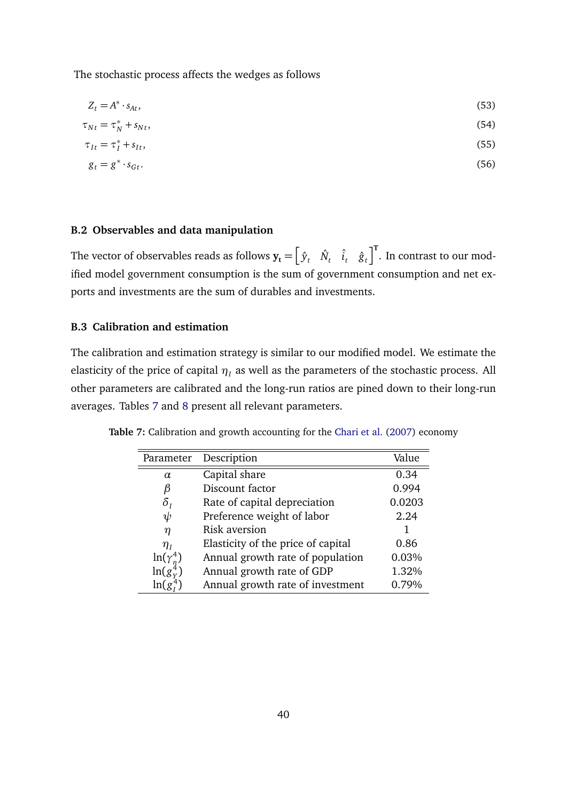The stochastic process affects the wedges as follows

$$
Z_t = A^* \cdot s_{At},\tag{53}
$$

$$
\tau_{Nt} = \tau_N^* + s_{Nt},\tag{54}
$$

$$
\tau_{It} = \tau_I^* + s_{It},\tag{55}
$$

$$
g_t = g^* \cdot s_{Gt}.\tag{56}
$$

#### **B.2 Observables and data manipulation**

The vector of observables reads as follows  $\mathbf{y_t} = \begin{bmatrix} \hat{y}_t & \hat{N}_t & \hat{t}_t & \hat{g}_t \end{bmatrix}^{\text{T}}$ . In contrast to our modified model government consumption is the sum of government consumption and net exports and investments are the sum of durables and investments.

#### **B.3 Calibration and estimation**

The calibration and estimation strategy is similar to our modified model. We estimate the elasticity of the price of capital  $\eta_I$  as well as the parameters of the stochastic process. All other parameters are calibrated and the long-run ratios are pined down to their long-run averages. Tables [7](#page-40-0) and [8](#page-41-1) present all relevant parameters.

| Parameter                        | Description                        | Value  |
|----------------------------------|------------------------------------|--------|
| $\alpha$                         | Capital share                      | 0.34   |
| ß                                | Discount factor                    | 0.994  |
| $\delta_{\scriptscriptstyle{I}}$ | Rate of capital depreciation       | 0.0203 |
| ψ                                | Preference weight of labor         | 2.24   |
| η                                | Risk aversion                      |        |
| $\eta_I$                         | Elasticity of the price of capital | 0.86   |
| $ln(\gamma_n^4)$                 | Annual growth rate of population   | 0.03%  |
| $\ln(g_v^4)$                     | Annual growth rate of GDP          | 1.32%  |
| ln(g)                            | Annual growth rate of investment   | 0.79%  |

<span id="page-40-0"></span>**Table 7:** Calibration and growth accounting for the [Chari et al.](#page-32-0) [\(2007\)](#page-32-0) economy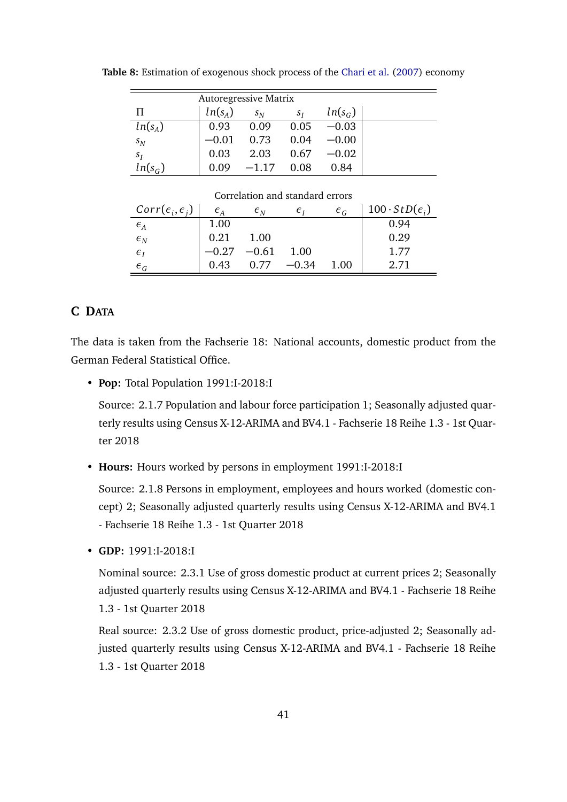| <b>Autoregressive Matrix</b> |           |         |       |           |  |
|------------------------------|-----------|---------|-------|-----------|--|
| П                            | $ln(s_A)$ | $S_{N}$ | $S_I$ | $ln(s_G)$ |  |
| $ln(s_A)$                    | 0.93      | 0.09    | 0.05  | $-0.03$   |  |
| $s_N$                        | $-0.01$   | 0.73    | 0.04  | $-0.00$   |  |
| $S_I$                        | 0.03      | 2.03    | 0.67  | $-0.02$   |  |
| $ln(s_G)$                    | 0.09      | $-1.17$ | 0.08  | 0.84      |  |

<span id="page-41-1"></span>**Table 8:** Estimation of exogenous shock process of the [Chari et al.](#page-32-0) [\(2007\)](#page-32-0) economy

| Correlation and standard errors   |                |                                   |                |                |                             |  |  |  |
|-----------------------------------|----------------|-----------------------------------|----------------|----------------|-----------------------------|--|--|--|
| $Corr(\epsilon_i, \epsilon_i)$    | $\epsilon_{A}$ | $\epsilon_{\scriptscriptstyle N}$ | $\epsilon_{I}$ | $\epsilon_{G}$ | $100 \cdot StD(\epsilon_i)$ |  |  |  |
| $\epsilon_{A}$                    | 1.00           |                                   |                |                | 0.94                        |  |  |  |
| $\epsilon_{N}$                    | 0.21           | 1.00                              |                |                | 0.29                        |  |  |  |
| $\epsilon_{I}$                    |                | $-0.27 -0.61$                     | 1.00           |                | 1.77                        |  |  |  |
| $\epsilon_{\scriptscriptstyle G}$ | 0.43           |                                   | $0.77 -0.34$   | 1.00           | 2.71                        |  |  |  |

## <span id="page-41-0"></span>**C DATA**

The data is taken from the Fachserie 18: National accounts, domestic product from the German Federal Statistical Office.

• **Pop:** Total Population 1991:I-2018:I

Source: 2.1.7 Population and labour force participation 1; Seasonally adjusted quarterly results using Census X-12-ARIMA and BV4.1 - Fachserie 18 Reihe 1.3 - 1st Quarter 2018

• **Hours:** Hours worked by persons in employment 1991:I-2018:I

Source: 2.1.8 Persons in employment, employees and hours worked (domestic concept) 2; Seasonally adjusted quarterly results using Census X-12-ARIMA and BV4.1 - Fachserie 18 Reihe 1.3 - 1st Quarter 2018

• **GDP:** 1991:I-2018:I

Nominal source: 2.3.1 Use of gross domestic product at current prices 2; Seasonally adjusted quarterly results using Census X-12-ARIMA and BV4.1 - Fachserie 18 Reihe 1.3 - 1st Quarter 2018

Real source: 2.3.2 Use of gross domestic product, price-adjusted 2; Seasonally adjusted quarterly results using Census X-12-ARIMA and BV4.1 - Fachserie 18 Reihe 1.3 - 1st Quarter 2018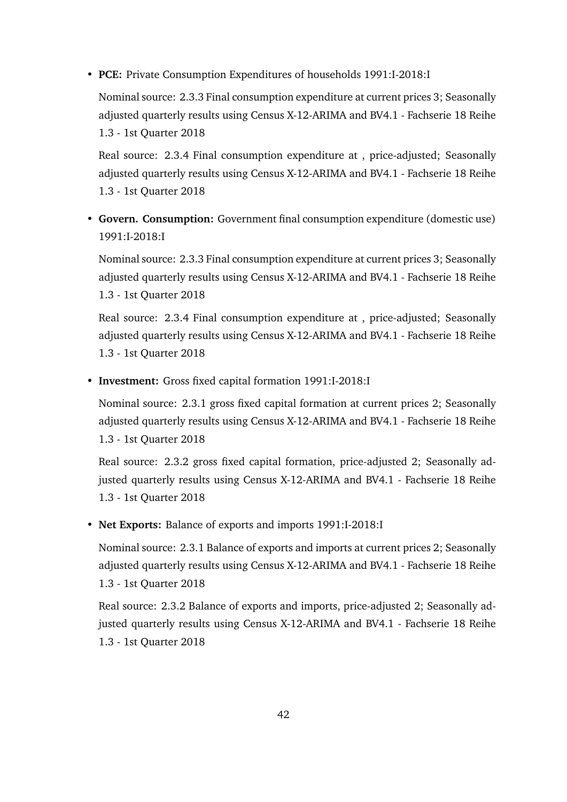• **PCE:** Private Consumption Expenditures of households 1991:I-2018:I

Nominal source: 2.3.3 Final consumption expenditure at current prices 3; Seasonally adjusted quarterly results using Census X-12-ARIMA and BV4.1 - Fachserie 18 Reihe 1.3 - 1st Quarter 2018

Real source: 2.3.4 Final consumption expenditure at , price-adjusted; Seasonally adjusted quarterly results using Census X-12-ARIMA and BV4.1 - Fachserie 18 Reihe 1.3 - 1st Quarter 2018

• **Govern. Consumption:** Government final consumption expenditure (domestic use) 1991:I-2018:I

Nominal source: 2.3.3 Final consumption expenditure at current prices 3; Seasonally adjusted quarterly results using Census X-12-ARIMA and BV4.1 - Fachserie 18 Reihe 1.3 - 1st Quarter 2018

Real source: 2.3.4 Final consumption expenditure at , price-adjusted; Seasonally adjusted quarterly results using Census X-12-ARIMA and BV4.1 - Fachserie 18 Reihe 1.3 - 1st Quarter 2018

• **Investment:** Gross fixed capital formation 1991:I-2018:I

Nominal source: 2.3.1 gross fixed capital formation at current prices 2; Seasonally adjusted quarterly results using Census X-12-ARIMA and BV4.1 - Fachserie 18 Reihe 1.3 - 1st Quarter 2018

Real source: 2.3.2 gross fixed capital formation, price-adjusted 2; Seasonally adjusted quarterly results using Census X-12-ARIMA and BV4.1 - Fachserie 18 Reihe 1.3 - 1st Quarter 2018

• **Net Exports:** Balance of exports and imports 1991:I-2018:I

Nominal source: 2.3.1 Balance of exports and imports at current prices 2; Seasonally adjusted quarterly results using Census X-12-ARIMA and BV4.1 - Fachserie 18 Reihe 1.3 - 1st Quarter 2018

Real source: 2.3.2 Balance of exports and imports, price-adjusted 2; Seasonally adjusted quarterly results using Census X-12-ARIMA and BV4.1 - Fachserie 18 Reihe 1.3 - 1st Quarter 2018